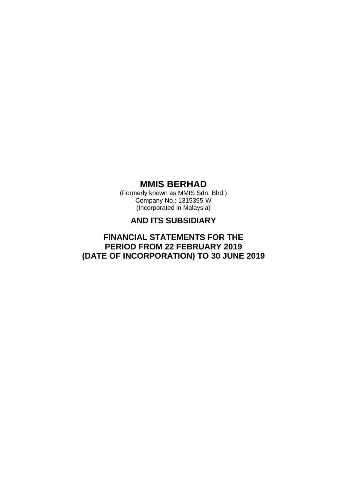(Formerly known as MMIS Sdn. Bhd.) Company No.: 1315395-W (Incorporated in Malaysia)

# **AND ITS SUBSIDIARY**

# **FINANCIAL STATEMENTS FOR THE PERIOD FROM 22 FEBRUARY 2019 (DATE OF INCORPORATION) TO 30 JUNE 2019**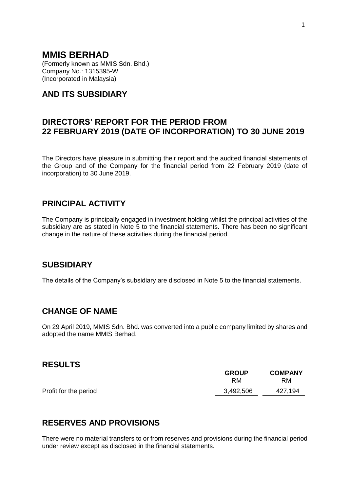(Formerly known as MMIS Sdn. Bhd.) Company No.: 1315395-W (Incorporated in Malaysia)

# **AND ITS SUBSIDIARY**

# **DIRECTORS' REPORT FOR THE PERIOD FROM 22 FEBRUARY 2019 (DATE OF INCORPORATION) TO 30 JUNE 2019**

The Directors have pleasure in submitting their report and the audited financial statements of the Group and of the Company for the financial period from 22 February 2019 (date of incorporation) to 30 June 2019.

# **PRINCIPAL ACTIVITY**

The Company is principally engaged in investment holding whilst the principal activities of the subsidiary are as stated in Note 5 to the financial statements. There has been no significant change in the nature of these activities during the financial period.

## **SUBSIDIARY**

The details of the Company's subsidiary are disclosed in Note 5 to the financial statements.

# **CHANGE OF NAME**

On 29 April 2019, MMIS Sdn. Bhd. was converted into a public company limited by shares and adopted the name MMIS Berhad.

## **RESULTS**

|                       | <b>GROUP</b><br>RM | <b>COMPANY</b><br>RM |
|-----------------------|--------------------|----------------------|
| Profit for the period | 3,492,506          | 427,194              |

# **RESERVES AND PROVISIONS**

There were no material transfers to or from reserves and provisions during the financial period under review except as disclosed in the financial statements.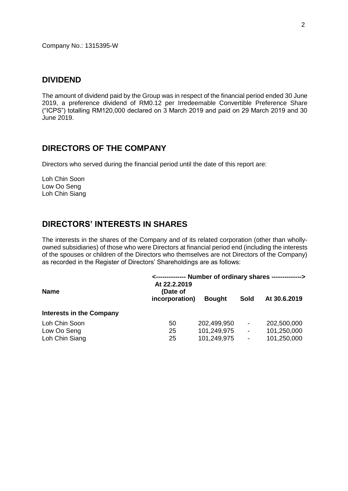Company No.: 1315395-W

## **DIVIDEND**

The amount of dividend paid by the Group was in respect of the financial period ended 30 June 2019, a preference dividend of RM0.12 per Irredeemable Convertible Preference Share ("ICPS") totalling RM120,000 declared on 3 March 2019 and paid on 29 March 2019 and 30 June 2019.

# **DIRECTORS OF THE COMPANY**

Directors who served during the financial period until the date of this report are:

Loh Chin Soon Low Oo Seng Loh Chin Siang

# **DIRECTORS' INTERESTS IN SHARES**

The interests in the shares of the Company and of its related corporation (other than whollyowned subsidiaries) of those who were Directors at financial period end (including the interests of the spouses or children of the Directors who themselves are not Directors of the Company) as recorded in the Register of Directors' Shareholdings are as follows:

| <b>Name</b>                     | <-------------- Number of ordinary shares --------------><br>At 22.2.2019<br>(Date of |               |                          |              |
|---------------------------------|---------------------------------------------------------------------------------------|---------------|--------------------------|--------------|
|                                 | incorporation)                                                                        | <b>Bought</b> | Sold                     | At 30.6.2019 |
| <b>Interests in the Company</b> |                                                                                       |               |                          |              |
| Loh Chin Soon                   | 50                                                                                    | 202,499,950   | $\overline{\phantom{a}}$ | 202,500,000  |
| Low Oo Seng                     | 25                                                                                    | 101,249,975   | $\overline{\phantom{a}}$ | 101,250,000  |
| Loh Chin Siang                  | 25                                                                                    | 101,249,975   | $\overline{\phantom{a}}$ | 101,250,000  |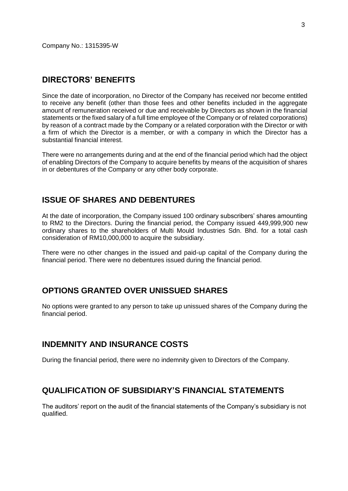Company No.: 1315395-W

## **DIRECTORS' BENEFITS**

Since the date of incorporation, no Director of the Company has received nor become entitled to receive any benefit (other than those fees and other benefits included in the aggregate amount of remuneration received or due and receivable by Directors as shown in the financial statements or the fixed salary of a full time employee of the Company or of related corporations) by reason of a contract made by the Company or a related corporation with the Director or with a firm of which the Director is a member, or with a company in which the Director has a substantial financial interest.

There were no arrangements during and at the end of the financial period which had the object of enabling Directors of the Company to acquire benefits by means of the acquisition of shares in or debentures of the Company or any other body corporate.

## **ISSUE OF SHARES AND DEBENTURES**

At the date of incorporation, the Company issued 100 ordinary subscribers' shares amounting to RM2 to the Directors. During the financial period, the Company issued 449,999,900 new ordinary shares to the shareholders of Multi Mould Industries Sdn. Bhd. for a total cash consideration of RM10,000,000 to acquire the subsidiary.

There were no other changes in the issued and paid-up capital of the Company during the financial period. There were no debentures issued during the financial period.

# **OPTIONS GRANTED OVER UNISSUED SHARES**

No options were granted to any person to take up unissued shares of the Company during the financial period.

## **INDEMNITY AND INSURANCE COSTS**

During the financial period, there were no indemnity given to Directors of the Company.

## **QUALIFICATION OF SUBSIDIARY'S FINANCIAL STATEMENTS**

The auditors' report on the audit of the financial statements of the Company's subsidiary is not qualified.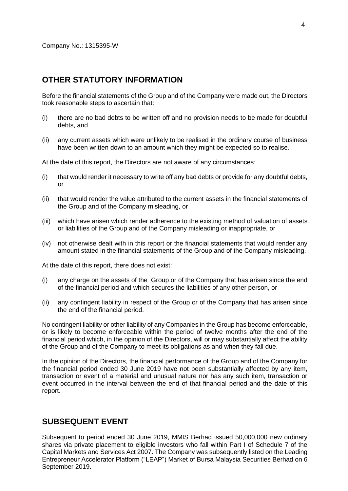## **OTHER STATUTORY INFORMATION**

Before the financial statements of the Group and of the Company were made out, the Directors took reasonable steps to ascertain that:

- (i) there are no bad debts to be written off and no provision needs to be made for doubtful debts, and
- (ii) any current assets which were unlikely to be realised in the ordinary course of business have been written down to an amount which they might be expected so to realise.

At the date of this report, the Directors are not aware of any circumstances:

- (i) that would render it necessary to write off any bad debts or provide for any doubtful debts, or
- (ii) that would render the value attributed to the current assets in the financial statements of the Group and of the Company misleading, or
- (iii) which have arisen which render adherence to the existing method of valuation of assets or liabilities of the Group and of the Company misleading or inappropriate, or
- (iv) not otherwise dealt with in this report or the financial statements that would render any amount stated in the financial statements of the Group and of the Company misleading.

At the date of this report, there does not exist:

- (i) any charge on the assets of the Group or of the Company that has arisen since the end of the financial period and which secures the liabilities of any other person, or
- (ii) any contingent liability in respect of the Group or of the Company that has arisen since the end of the financial period.

No contingent liability or other liability of any Companies in the Group has become enforceable, or is likely to become enforceable within the period of twelve months after the end of the financial period which, in the opinion of the Directors, will or may substantially affect the ability of the Group and of the Company to meet its obligations as and when they fall due.

In the opinion of the Directors, the financial performance of the Group and of the Company for the financial period ended 30 June 2019 have not been substantially affected by any item, transaction or event of a material and unusual nature nor has any such item, transaction or event occurred in the interval between the end of that financial period and the date of this report.

## **SUBSEQUENT EVENT**

Subsequent to period ended 30 June 2019, MMIS Berhad issued 50,000,000 new ordinary shares via private placement to eligible investors who fall within Part I of Schedule 7 of the Capital Markets and Services Act 2007. The Company was subsequently listed on the Leading Entrepreneur Accelerator Platform ("LEAP") Market of Bursa Malaysia Securities Berhad on 6 September 2019.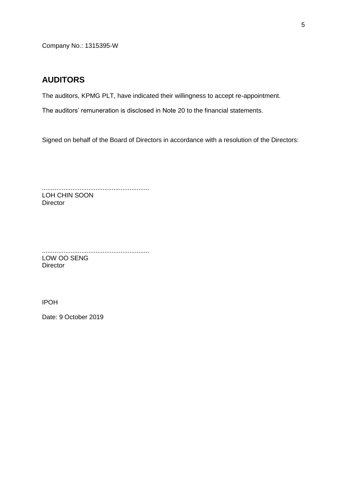Company No.: 1315395-W

## **AUDITORS**

The auditors, KPMG PLT, have indicated their willingness to accept re-appointment.

The auditors' remuneration is disclosed in Note 20 to the financial statements.

Signed on behalf of the Board of Directors in accordance with a resolution of the Directors:

............................................................ LOH CHIN SOON **Director** 

............................................................ LOW OO SENG **Director** 

IPOH

Date: 9 October 2019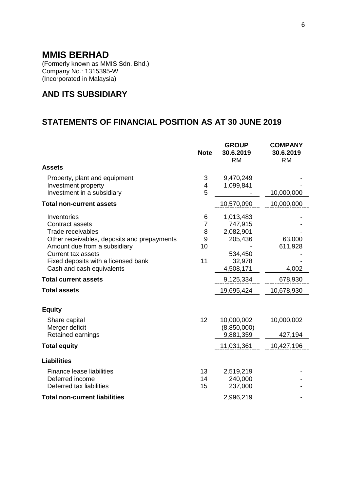(Formerly known as MMIS Sdn. Bhd.) Company No.: 1315395-W (Incorporated in Malaysia)

# **AND ITS SUBSIDIARY**

# **STATEMENTS OF FINANCIAL POSITION AS AT 30 JUNE 2019**

|                                                                                                                                                                                                                                                                                                  | <b>Note</b>                               | <b>GROUP</b><br>30.6.2019<br><b>RM</b>                                                                    | <b>COMPANY</b><br>30.6.2019<br><b>RM</b>            |
|--------------------------------------------------------------------------------------------------------------------------------------------------------------------------------------------------------------------------------------------------------------------------------------------------|-------------------------------------------|-----------------------------------------------------------------------------------------------------------|-----------------------------------------------------|
| <b>Assets</b>                                                                                                                                                                                                                                                                                    |                                           |                                                                                                           |                                                     |
| Property, plant and equipment<br>Investment property<br>Investment in a subsidiary                                                                                                                                                                                                               | 3<br>4<br>5                               | 9,470,249<br>1,099,841                                                                                    | 10,000,000                                          |
| <b>Total non-current assets</b>                                                                                                                                                                                                                                                                  |                                           | 10,570,090                                                                                                | 10,000,000                                          |
| Inventories<br><b>Contract assets</b><br>Trade receivables<br>Other receivables, deposits and prepayments<br>Amount due from a subsidiary<br><b>Current tax assets</b><br>Fixed deposits with a licensed bank<br>Cash and cash equivalents<br><b>Total current assets</b><br><b>Total assets</b> | 6<br>$\overline{7}$<br>8<br>9<br>10<br>11 | 1,013,483<br>747,915<br>2,082,901<br>205,436<br>534,450<br>32,978<br>4,508,171<br>9,125,334<br>19,695,424 | 63,000<br>611,928<br>4,002<br>678,930<br>10,678,930 |
| <b>Equity</b>                                                                                                                                                                                                                                                                                    |                                           |                                                                                                           |                                                     |
| Share capital<br>Merger deficit<br>Retained earnings                                                                                                                                                                                                                                             | 12                                        | 10,000,002<br>(8,850,000)<br>9,881,359                                                                    | 10,000,002<br>427,194                               |
| <b>Total equity</b>                                                                                                                                                                                                                                                                              |                                           | 11,031,361                                                                                                | 10,427,196                                          |
| <b>Liabilities</b>                                                                                                                                                                                                                                                                               |                                           |                                                                                                           |                                                     |
| Finance lease liabilities<br>Deferred income<br>Deferred tax liabilities                                                                                                                                                                                                                         | 13<br>14<br>15                            | 2,519,219<br>240,000<br>237,000                                                                           |                                                     |
| <b>Total non-current liabilities</b>                                                                                                                                                                                                                                                             |                                           | 2,996,219                                                                                                 |                                                     |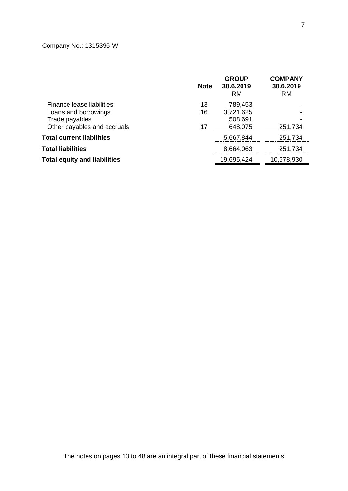# Company No.: 1315395-W

|                                     | <b>Note</b> | <b>GROUP</b><br>30.6.2019<br><b>RM</b> | <b>COMPANY</b><br>30.6.2019<br><b>RM</b> |
|-------------------------------------|-------------|----------------------------------------|------------------------------------------|
| Finance lease liabilities           | 13          | 789,453                                |                                          |
| Loans and borrowings                | 16          | 3,721,625                              |                                          |
| Trade payables                      |             | 508,691                                |                                          |
| Other payables and accruals         | 17          | 648,075                                | 251,734                                  |
| <b>Total current liabilities</b>    |             | 5,667,844                              | 251,734                                  |
| <b>Total liabilities</b>            |             | 8,664,063                              | 251,734                                  |
| <b>Total equity and liabilities</b> |             | 19,695,424                             | 10,678,930                               |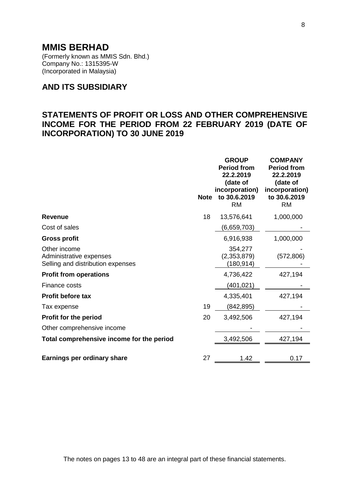(Formerly known as MMIS Sdn. Bhd.) Company No.: 1315395-W (Incorporated in Malaysia)

# **AND ITS SUBSIDIARY**

# **STATEMENTS OF PROFIT OR LOSS AND OTHER COMPREHENSIVE INCOME FOR THE PERIOD FROM 22 FEBRUARY 2019 (DATE OF INCORPORATION) TO 30 JUNE 2019**

|                                                                              | <b>Note</b> | <b>GROUP</b><br><b>Period from</b><br>22.2.2019<br>(date of<br>incorporation)<br>to 30.6.2019<br><b>RM</b> | <b>COMPANY</b><br><b>Period from</b><br>22.2.2019<br>(date of<br>incorporation)<br>to 30.6.2019<br><b>RM</b> |
|------------------------------------------------------------------------------|-------------|------------------------------------------------------------------------------------------------------------|--------------------------------------------------------------------------------------------------------------|
| <b>Revenue</b>                                                               | 18          | 13,576,641                                                                                                 | 1,000,000                                                                                                    |
| Cost of sales                                                                |             | (6,659,703)                                                                                                |                                                                                                              |
| <b>Gross profit</b>                                                          |             | 6,916,938                                                                                                  | 1,000,000                                                                                                    |
| Other income<br>Administrative expenses<br>Selling and distribution expenses |             | 354,277<br>(2,353,879)<br>(180,914)                                                                        | (572, 806)                                                                                                   |
| <b>Profit from operations</b>                                                |             | 4,736,422                                                                                                  | 427,194                                                                                                      |
| Finance costs                                                                |             | (401,021)                                                                                                  |                                                                                                              |
| Profit before tax                                                            |             | 4,335,401                                                                                                  | 427,194                                                                                                      |
| Tax expense                                                                  | 19          | (842,895)                                                                                                  |                                                                                                              |
| <b>Profit for the period</b>                                                 | 20          | 3,492,506                                                                                                  | 427,194                                                                                                      |
| Other comprehensive income                                                   |             |                                                                                                            |                                                                                                              |
| Total comprehensive income for the period                                    |             | 3,492,506                                                                                                  | 427,194                                                                                                      |
| Earnings per ordinary share                                                  | 27          | 1.42                                                                                                       | 0.17                                                                                                         |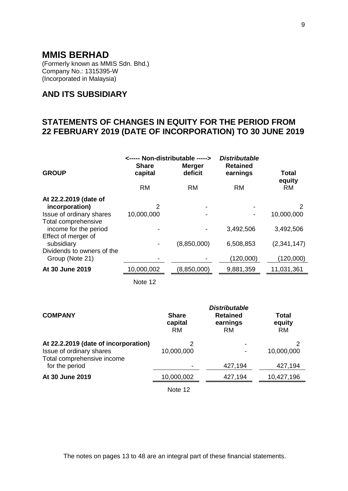(Formerly known as MMIS Sdn. Bhd.) Company No.: 1315395-W (Incorporated in Malaysia)

# **AND ITS SUBSIDIARY**

# **STATEMENTS OF CHANGES IN EQUITY FOR THE PERIOD FROM 22 FEBRUARY 2019 (DATE OF INCORPORATION) TO 30 JUNE 2019**

| <b>GROUP</b>                                                        | <----- Non-distributable -----><br><b>Share</b><br>capital | <b>Merger</b><br>deficit | <b>Distributable</b><br><b>Retained</b><br>earnings | Total               |
|---------------------------------------------------------------------|------------------------------------------------------------|--------------------------|-----------------------------------------------------|---------------------|
|                                                                     | <b>RM</b>                                                  | <b>RM</b>                | <b>RM</b>                                           | equity<br><b>RM</b> |
| At 22.2.2019 (date of<br>incorporation)<br>Issue of ordinary shares | 2<br>10,000,000                                            |                          |                                                     | 2<br>10,000,000     |
| Total comprehensive<br>income for the period                        |                                                            |                          | 3,492,506                                           | 3,492,506           |
| Effect of merger of<br>subsidiary<br>Dividends to owners of the     |                                                            | (8,850,000)              | 6,508,853                                           | (2,341,147)         |
| Group (Note 21)                                                     |                                                            |                          | (120,000)                                           | (120,000)           |
| At 30 June 2019                                                     | 10,000,002                                                 | (8,850,000)              | 9,881,359                                           | 11,031,361          |
|                                                                     | Note 12                                                    |                          |                                                     |                     |

| <b>COMPANY</b>                                                   | <b>Share</b><br>capital<br><b>RM</b> | <b>Distributable</b><br><b>Retained</b><br>earnings<br><b>RM</b> | Total<br>equity<br><b>RM</b> |
|------------------------------------------------------------------|--------------------------------------|------------------------------------------------------------------|------------------------------|
| At 22.2.2019 (date of incorporation)<br>Issue of ordinary shares | 2<br>10,000,000                      |                                                                  | 2<br>10,000,000              |
| Total comprehensive income<br>for the period                     |                                      | 427,194                                                          | 427,194                      |
| At 30 June 2019                                                  | 10,000,002                           | 427,194                                                          | 10,427,196                   |
|                                                                  | Note 12                              |                                                                  |                              |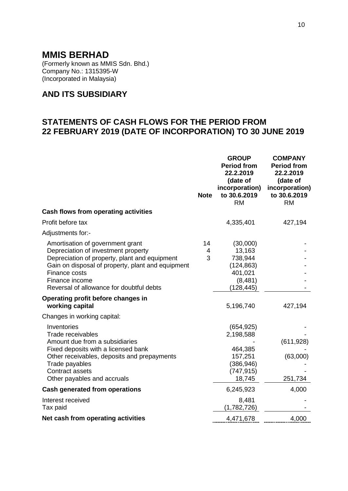(Formerly known as MMIS Sdn. Bhd.) Company No.: 1315395-W (Incorporated in Malaysia)

# **AND ITS SUBSIDIARY**

# **STATEMENTS OF CASH FLOWS FOR THE PERIOD FROM 22 FEBRUARY 2019 (DATE OF INCORPORATION) TO 30 JUNE 2019**

|                                                                                                                                                                                                                                                              | <b>Note</b>  | <b>GROUP</b><br><b>Period from</b><br>22.2.2019<br>(date of<br>incorporation)<br>to 30.6.2019<br><b>RM</b> | <b>COMPANY</b><br><b>Period from</b><br>22.2.2019<br>(date of<br>incorporation)<br>to 30.6.2019<br><b>RM</b> |
|--------------------------------------------------------------------------------------------------------------------------------------------------------------------------------------------------------------------------------------------------------------|--------------|------------------------------------------------------------------------------------------------------------|--------------------------------------------------------------------------------------------------------------|
| Cash flows from operating activities                                                                                                                                                                                                                         |              |                                                                                                            |                                                                                                              |
| Profit before tax                                                                                                                                                                                                                                            |              | 4,335,401                                                                                                  | 427,194                                                                                                      |
| Adjustments for:-                                                                                                                                                                                                                                            |              |                                                                                                            |                                                                                                              |
| Amortisation of government grant<br>Depreciation of investment property<br>Depreciation of property, plant and equipment<br>Gain on disposal of property, plant and equipment<br>Finance costs<br>Finance income<br>Reversal of allowance for doubtful debts | 14<br>4<br>3 | (30,000)<br>13,163<br>738,944<br>(124, 863)<br>401,021<br>(8, 481)<br>(128, 445)                           |                                                                                                              |
| Operating profit before changes in<br>working capital                                                                                                                                                                                                        |              | 5,196,740                                                                                                  | 427,194                                                                                                      |
| Changes in working capital:                                                                                                                                                                                                                                  |              |                                                                                                            |                                                                                                              |
| Inventories<br><b>Trade receivables</b><br>Amount due from a subsidiaries<br>Fixed deposits with a licensed bank<br>Other receivables, deposits and prepayments<br>Trade payables<br>Contract assets<br>Other payables and accruals                          |              | (654, 925)<br>2,198,588<br>464,385<br>157,251<br>(386, 946)<br>(747, 915)<br>18,745                        | (611, 928)<br>(63,000)<br>251,734                                                                            |
| <b>Cash generated from operations</b>                                                                                                                                                                                                                        |              | 6,245,923                                                                                                  | 4,000                                                                                                        |
| Interest received<br>Tax paid                                                                                                                                                                                                                                |              | 8,481<br>(1,782,726)                                                                                       |                                                                                                              |
| Net cash from operating activities                                                                                                                                                                                                                           |              | 4,471,678                                                                                                  | 4,000                                                                                                        |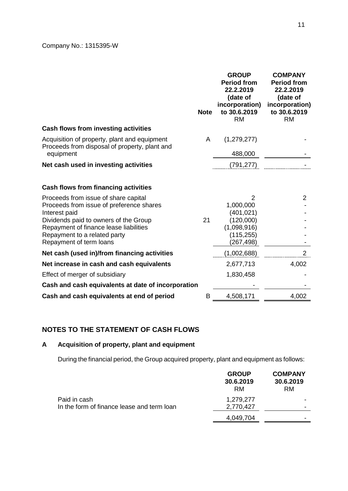|                                                                                                   | <b>Note</b> | <b>GROUP</b><br><b>Period from</b><br>22.2.2019<br>(date of<br>incorporation)<br>to 30.6.2019<br><b>RM</b> | <b>COMPANY</b><br><b>Period from</b><br>22.2.2019<br>(date of<br>incorporation)<br>to 30.6.2019<br><b>RM</b> |
|---------------------------------------------------------------------------------------------------|-------------|------------------------------------------------------------------------------------------------------------|--------------------------------------------------------------------------------------------------------------|
| Cash flows from investing activities                                                              |             |                                                                                                            |                                                                                                              |
| Acquisition of property, plant and equipment<br>Proceeds from disposal of property, plant and     | A           | (1,279,277)                                                                                                |                                                                                                              |
| equipment                                                                                         |             | 488,000                                                                                                    |                                                                                                              |
| Net cash used in investing activities                                                             |             | (791, 277)                                                                                                 |                                                                                                              |
| <b>Cash flows from financing activities</b>                                                       |             |                                                                                                            |                                                                                                              |
| Proceeds from issue of share capital<br>Proceeds from issue of preference shares<br>Interest paid |             | $\overline{2}$<br>1,000,000<br>(401, 021)                                                                  | $\overline{2}$                                                                                               |
| Dividends paid to owners of the Group                                                             | 21          | (120,000)                                                                                                  |                                                                                                              |
| Repayment of finance lease liabilities                                                            |             | (1,098,916)                                                                                                |                                                                                                              |
| Repayment to a related party                                                                      |             | (115, 255)                                                                                                 |                                                                                                              |
| Repayment of term loans                                                                           |             | (267, 498)                                                                                                 |                                                                                                              |
| Net cash (used in)/from financing activities                                                      |             | (1,002,688)                                                                                                | $\overline{2}$                                                                                               |
| Net increase in cash and cash equivalents                                                         |             | 2,677,713                                                                                                  | 4,002                                                                                                        |
| Effect of merger of subsidiary                                                                    |             | 1,830,458                                                                                                  |                                                                                                              |
| Cash and cash equivalents at date of incorporation                                                |             |                                                                                                            |                                                                                                              |
| Cash and cash equivalents at end of period                                                        | B           | 4,508,171                                                                                                  | 4,002                                                                                                        |
|                                                                                                   |             |                                                                                                            |                                                                                                              |

# **NOTES TO THE STATEMENT OF CASH FLOWS**

# **A Acquisition of property, plant and equipment**

During the financial period, the Group acquired property, plant and equipment as follows:

|                                            | <b>GROUP</b><br>30.6.2019<br>RM | <b>COMPANY</b><br>30.6.2019<br>RM. |
|--------------------------------------------|---------------------------------|------------------------------------|
| Paid in cash                               | 1,279,277                       |                                    |
| In the form of finance lease and term loan | 2,770,427                       | -                                  |
|                                            | 4,049,704                       |                                    |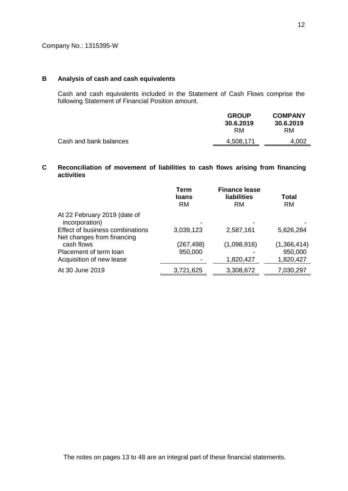### **B Analysis of cash and cash equivalents**

Cash and cash equivalents included in the Statement of Cash Flows comprise the following Statement of Financial Position amount.

|                        | <b>GROUP</b><br>30.6.2019<br>RM. | <b>COMPANY</b><br>30.6.2019<br>RM. |
|------------------------|----------------------------------|------------------------------------|
| Cash and bank balances | 4,508,171                        | 4.002                              |
|                        |                                  |                                    |

### **C Reconciliation of movement of liabilities to cash flows arising from financing activities**

|                                                               | Term<br><b>loans</b><br><b>RM</b> | <b>Finance lease</b><br><b>liabilities</b><br><b>RM</b> | <b>Total</b><br><b>RM</b> |
|---------------------------------------------------------------|-----------------------------------|---------------------------------------------------------|---------------------------|
| At 22 February 2019 (date of<br>incorporation)                |                                   |                                                         |                           |
| Effect of business combinations<br>Net changes from financing | 3,039,123                         | 2,587,161                                               | 5,626,284                 |
| cash flows                                                    | (267, 498)                        | (1,098,916)                                             | (1,366,414)               |
| Placement of term loan                                        | 950,000                           |                                                         | 950,000                   |
| Acquisition of new lease                                      |                                   | 1,820,427                                               | 1,820,427                 |
| At 30 June 2019                                               | 3,721,625                         | 3,308,672                                               | 7,030,297                 |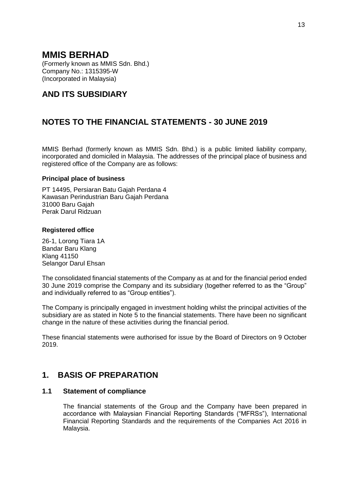(Formerly known as MMIS Sdn. Bhd.) Company No.: 1315395-W (Incorporated in Malaysia)

# **AND ITS SUBSIDIARY**

# **NOTES TO THE FINANCIAL STATEMENTS - 30 JUNE 2019**

MMIS Berhad (formerly known as MMIS Sdn. Bhd.) is a public limited liability company, incorporated and domiciled in Malaysia. The addresses of the principal place of business and registered office of the Company are as follows:

### **Principal place of business**

PT 14495, Persiaran Batu Gajah Perdana 4 Kawasan Perindustrian Baru Gajah Perdana 31000 Baru Gajah Perak Darul Ridzuan

### **Registered office**

26-1, Lorong Tiara 1A Bandar Baru Klang Klang 41150 Selangor Darul Ehsan

The consolidated financial statements of the Company as at and for the financial period ended 30 June 2019 comprise the Company and its subsidiary (together referred to as the "Group" and individually referred to as "Group entities").

The Company is principally engaged in investment holding whilst the principal activities of the subsidiary are as stated in Note 5 to the financial statements. There have been no significant change in the nature of these activities during the financial period.

These financial statements were authorised for issue by the Board of Directors on 9 October 2019.

# **1. BASIS OF PREPARATION**

## **1.1 Statement of compliance**

The financial statements of the Group and the Company have been prepared in accordance with Malaysian Financial Reporting Standards ("MFRSs"), International Financial Reporting Standards and the requirements of the Companies Act 2016 in Malaysia.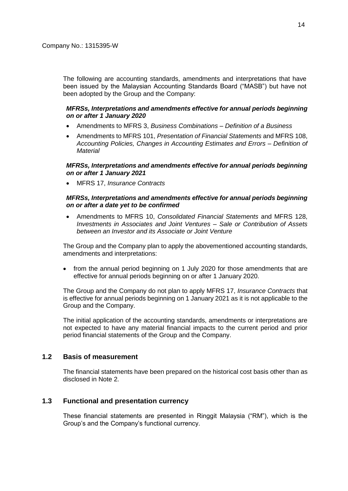The following are accounting standards, amendments and interpretations that have been issued by the Malaysian Accounting Standards Board ("MASB") but have not been adopted by the Group and the Company:

### *MFRSs, Interpretations and amendments effective for annual periods beginning on or after 1 January 2020*

- Amendments to MFRS 3, *Business Combinations – Definition of a Business*
- Amendments to MFRS 101, *Presentation of Financial Statements* and MFRS 108, *Accounting Policies, Changes in Accounting Estimates and Errors – Definition of Material*

### *MFRSs, Interpretations and amendments effective for annual periods beginning on or after 1 January 2021*

MFRS 17, *Insurance Contracts*

### *MFRSs, Interpretations and amendments effective for annual periods beginning on or after a date yet to be confirmed*

 Amendments to MFRS 10, *Consolidated Financial Statements* and MFRS 128, *Investments in Associates and Joint Ventures – Sale or Contribution of Assets between an Investor and its Associate or Joint Venture*

The Group and the Company plan to apply the abovementioned accounting standards, amendments and interpretations:

 from the annual period beginning on 1 July 2020 for those amendments that are effective for annual periods beginning on or after 1 January 2020.

The Group and the Company do not plan to apply MFRS 17, *Insurance Contracts* that is effective for annual periods beginning on 1 January 2021 as it is not applicable to the Group and the Company.

The initial application of the accounting standards, amendments or interpretations are not expected to have any material financial impacts to the current period and prior period financial statements of the Group and the Company.

## **1.2 Basis of measurement**

The financial statements have been prepared on the historical cost basis other than as disclosed in Note 2.

## **1.3 Functional and presentation currency**

These financial statements are presented in Ringgit Malaysia ("RM"), which is the Group's and the Company's functional currency.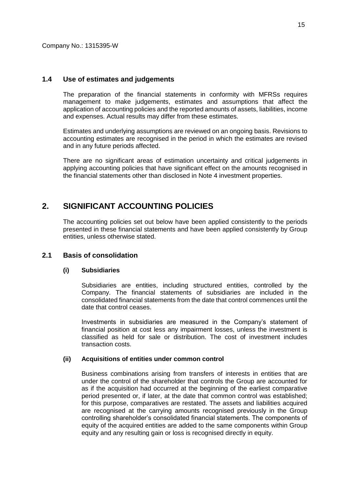### **1.4 Use of estimates and judgements**

The preparation of the financial statements in conformity with MFRSs requires management to make judgements, estimates and assumptions that affect the application of accounting policies and the reported amounts of assets, liabilities, income and expenses. Actual results may differ from these estimates.

Estimates and underlying assumptions are reviewed on an ongoing basis. Revisions to accounting estimates are recognised in the period in which the estimates are revised and in any future periods affected.

There are no significant areas of estimation uncertainty and critical judgements in applying accounting policies that have significant effect on the amounts recognised in the financial statements other than disclosed in Note 4 investment properties.

# **2. SIGNIFICANT ACCOUNTING POLICIES**

The accounting policies set out below have been applied consistently to the periods presented in these financial statements and have been applied consistently by Group entities, unless otherwise stated.

## **2.1 Basis of consolidation**

#### **(i) Subsidiaries**

Subsidiaries are entities, including structured entities, controlled by the Company. The financial statements of subsidiaries are included in the consolidated financial statements from the date that control commences until the date that control ceases.

Investments in subsidiaries are measured in the Company's statement of financial position at cost less any impairment losses, unless the investment is classified as held for sale or distribution. The cost of investment includes transaction costs.

#### **(ii) Acquisitions of entities under common control**

Business combinations arising from transfers of interests in entities that are under the control of the shareholder that controls the Group are accounted for as if the acquisition had occurred at the beginning of the earliest comparative period presented or, if later, at the date that common control was established; for this purpose, comparatives are restated. The assets and liabilities acquired are recognised at the carrying amounts recognised previously in the Group controlling shareholder's consolidated financial statements. The components of equity of the acquired entities are added to the same components within Group equity and any resulting gain or loss is recognised directly in equity.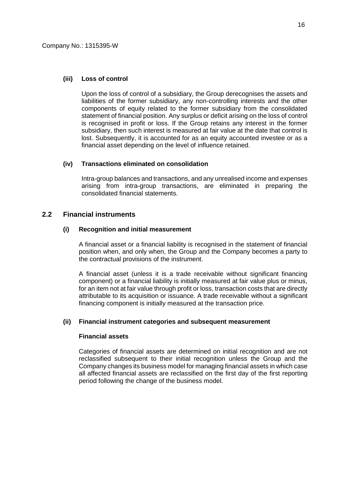#### **(iii) Loss of control**

Upon the loss of control of a subsidiary, the Group derecognises the assets and liabilities of the former subsidiary, any non-controlling interests and the other components of equity related to the former subsidiary from the consolidated statement of financial position. Any surplus or deficit arising on the loss of control is recognised in profit or loss. If the Group retains any interest in the former subsidiary, then such interest is measured at fair value at the date that control is lost. Subsequently, it is accounted for as an equity accounted investee or as a financial asset depending on the level of influence retained.

### **(iv) Transactions eliminated on consolidation**

Intra-group balances and transactions, and any unrealised income and expenses arising from intra-group transactions, are eliminated in preparing the consolidated financial statements.

## **2.2 Financial instruments**

#### **(i) Recognition and initial measurement**

A financial asset or a financial liability is recognised in the statement of financial position when, and only when, the Group and the Company becomes a party to the contractual provisions of the instrument.

A financial asset (unless it is a trade receivable without significant financing component) or a financial liability is initially measured at fair value plus or minus, for an item not at fair value through profit or loss, transaction costs that are directly attributable to its acquisition or issuance. A trade receivable without a significant financing component is initially measured at the transaction price.

#### **(ii) Financial instrument categories and subsequent measurement**

#### **Financial assets**

Categories of financial assets are determined on initial recognition and are not reclassified subsequent to their initial recognition unless the Group and the Company changes its business model for managing financial assets in which case all affected financial assets are reclassified on the first day of the first reporting period following the change of the business model.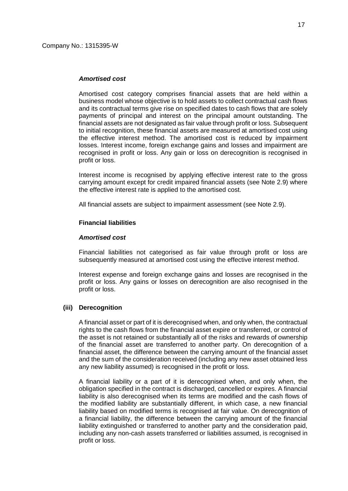#### *Amortised cost*

Amortised cost category comprises financial assets that are held within a business model whose objective is to hold assets to collect contractual cash flows and its contractual terms give rise on specified dates to cash flows that are solely payments of principal and interest on the principal amount outstanding. The financial assets are not designated as fair value through profit or loss. Subsequent to initial recognition, these financial assets are measured at amortised cost using the effective interest method. The amortised cost is reduced by impairment losses. Interest income, foreign exchange gains and losses and impairment are recognised in profit or loss. Any gain or loss on derecognition is recognised in profit or loss.

Interest income is recognised by applying effective interest rate to the gross carrying amount except for credit impaired financial assets (see Note 2.9) where the effective interest rate is applied to the amortised cost.

All financial assets are subject to impairment assessment (see Note 2.9).

#### **Financial liabilities**

#### *Amortised cost*

Financial liabilities not categorised as fair value through profit or loss are subsequently measured at amortised cost using the effective interest method.

Interest expense and foreign exchange gains and losses are recognised in the profit or loss. Any gains or losses on derecognition are also recognised in the profit or loss.

#### **(iii) Derecognition**

A financial asset or part of it is derecognised when, and only when, the contractual rights to the cash flows from the financial asset expire or transferred, or control of the asset is not retained or substantially all of the risks and rewards of ownership of the financial asset are transferred to another party. On derecognition of a financial asset, the difference between the carrying amount of the financial asset and the sum of the consideration received (including any new asset obtained less any new liability assumed) is recognised in the profit or loss.

A financial liability or a part of it is derecognised when, and only when, the obligation specified in the contract is discharged, cancelled or expires. A financial liability is also derecognised when its terms are modified and the cash flows of the modified liability are substantially different, in which case, a new financial liability based on modified terms is recognised at fair value. On derecognition of a financial liability, the difference between the carrying amount of the financial liability extinguished or transferred to another party and the consideration paid, including any non-cash assets transferred or liabilities assumed, is recognised in profit or loss.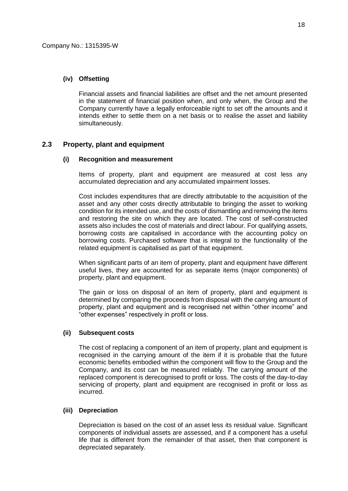### **(iv) Offsetting**

Financial assets and financial liabilities are offset and the net amount presented in the statement of financial position when, and only when, the Group and the Company currently have a legally enforceable right to set off the amounts and it intends either to settle them on a net basis or to realise the asset and liability simultaneously.

## **2.3 Property, plant and equipment**

#### **(i) Recognition and measurement**

Items of property, plant and equipment are measured at cost less any accumulated depreciation and any accumulated impairment losses.

Cost includes expenditures that are directly attributable to the acquisition of the asset and any other costs directly attributable to bringing the asset to working condition for its intended use, and the costs of dismantling and removing the items and restoring the site on which they are located. The cost of self-constructed assets also includes the cost of materials and direct labour. For qualifying assets, borrowing costs are capitalised in accordance with the accounting policy on borrowing costs. Purchased software that is integral to the functionality of the related equipment is capitalised as part of that equipment.

When significant parts of an item of property, plant and equipment have different useful lives, they are accounted for as separate items (major components) of property, plant and equipment.

The gain or loss on disposal of an item of property, plant and equipment is determined by comparing the proceeds from disposal with the carrying amount of property, plant and equipment and is recognised net within "other income" and "other expenses" respectively in profit or loss.

#### **(ii) Subsequent costs**

The cost of replacing a component of an item of property, plant and equipment is recognised in the carrying amount of the item if it is probable that the future economic benefits embodied within the component will flow to the Group and the Company, and its cost can be measured reliably. The carrying amount of the replaced component is derecognised to profit or loss. The costs of the day-to-day servicing of property, plant and equipment are recognised in profit or loss as incurred.

#### **(iii) Depreciation**

Depreciation is based on the cost of an asset less its residual value. Significant components of individual assets are assessed, and if a component has a useful life that is different from the remainder of that asset, then that component is depreciated separately.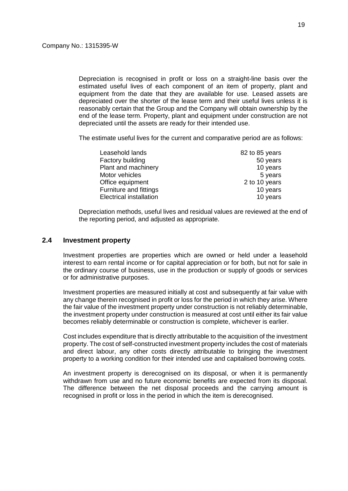Depreciation is recognised in profit or loss on a straight-line basis over the estimated useful lives of each component of an item of property, plant and equipment from the date that they are available for use. Leased assets are depreciated over the shorter of the lease term and their useful lives unless it is reasonably certain that the Group and the Company will obtain ownership by the end of the lease term. Property, plant and equipment under construction are not depreciated until the assets are ready for their intended use.

The estimate useful lives for the current and comparative period are as follows:

| Leasehold lands                | 82 to 85 years |
|--------------------------------|----------------|
| Factory building               | 50 years       |
| Plant and machinery            | 10 years       |
| Motor vehicles                 | 5 years        |
| Office equipment               | 2 to 10 years  |
| Furniture and fittings         | 10 years       |
| <b>Electrical installation</b> | 10 years       |

Depreciation methods, useful lives and residual values are reviewed at the end of the reporting period, and adjusted as appropriate.

## **2.4 Investment property**

Investment properties are properties which are owned or held under a leasehold interest to earn rental income or for capital appreciation or for both, but not for sale in the ordinary course of business, use in the production or supply of goods or services or for administrative purposes.

Investment properties are measured initially at cost and subsequently at fair value with any change therein recognised in profit or loss for the period in which they arise. Where the fair value of the investment property under construction is not reliably determinable, the investment property under construction is measured at cost until either its fair value becomes reliably determinable or construction is complete, whichever is earlier.

Cost includes expenditure that is directly attributable to the acquisition of the investment property. The cost of self-constructed investment property includes the cost of materials and direct labour, any other costs directly attributable to bringing the investment property to a working condition for their intended use and capitalised borrowing costs.

An investment property is derecognised on its disposal, or when it is permanently withdrawn from use and no future economic benefits are expected from its disposal. The difference between the net disposal proceeds and the carrying amount is recognised in profit or loss in the period in which the item is derecognised.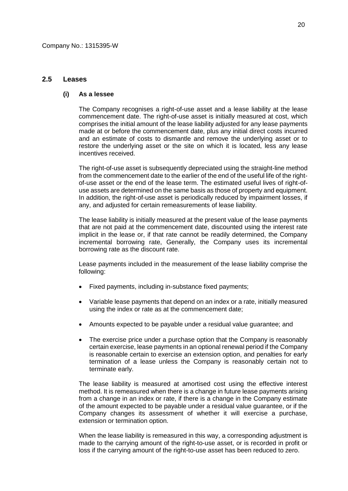#### **2.5 Leases**

#### **(i) As a lessee**

The Company recognises a right-of-use asset and a lease liability at the lease commencement date. The right-of-use asset is initially measured at cost, which comprises the initial amount of the lease liability adjusted for any lease payments made at or before the commencement date, plus any initial direct costs incurred and an estimate of costs to dismantle and remove the underlying asset or to restore the underlying asset or the site on which it is located, less any lease incentives received.

The right-of-use asset is subsequently depreciated using the straight-line method from the commencement date to the earlier of the end of the useful life of the rightof-use asset or the end of the lease term. The estimated useful lives of right-ofuse assets are determined on the same basis as those of property and equipment. In addition, the right-of-use asset is periodically reduced by impairment losses, if any, and adjusted for certain remeasurements of lease liability.

The lease liability is initially measured at the present value of the lease payments that are not paid at the commencement date, discounted using the interest rate implicit in the lease or, if that rate cannot be readily determined, the Company incremental borrowing rate, Generally, the Company uses its incremental borrowing rate as the discount rate.

Lease payments included in the measurement of the lease liability comprise the following:

- Fixed payments, including in-substance fixed payments;
- Variable lease payments that depend on an index or a rate, initially measured using the index or rate as at the commencement date;
- Amounts expected to be payable under a residual value guarantee; and
- The exercise price under a purchase option that the Company is reasonably certain exercise, lease payments in an optional renewal period if the Company is reasonable certain to exercise an extension option, and penalties for early termination of a lease unless the Company is reasonably certain not to terminate early.

The lease liability is measured at amortised cost using the effective interest method. It is remeasured when there is a change in future lease payments arising from a change in an index or rate, if there is a change in the Company estimate of the amount expected to be payable under a residual value guarantee, or if the Company changes its assessment of whether it will exercise a purchase, extension or termination option.

When the lease liability is remeasured in this way, a corresponding adjustment is made to the carrying amount of the right-to-use asset, or is recorded in profit or loss if the carrying amount of the right-to-use asset has been reduced to zero.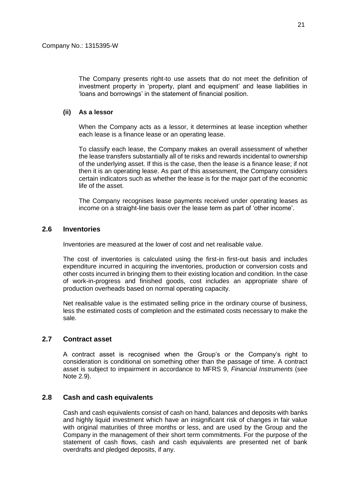The Company presents right-to use assets that do not meet the definition of investment property in 'property, plant and equipment' and lease liabilities in 'loans and borrowings' in the statement of financial position.

## **(ii) As a lessor**

When the Company acts as a lessor, it determines at lease inception whether each lease is a finance lease or an operating lease.

To classify each lease, the Company makes an overall assessment of whether the lease transfers substantially all of te risks and rewards incidental to ownership of the underlying asset. If this is the case, then the lease is a finance lease; if not then it is an operating lease. As part of this assessment, the Company considers certain indicators such as whether the lease is for the major part of the economic life of the asset.

The Company recognises lease payments received under operating leases as income on a straight-line basis over the lease term as part of 'other income'.

### **2.6 Inventories**

Inventories are measured at the lower of cost and net realisable value.

The cost of inventories is calculated using the first-in first-out basis and includes expenditure incurred in acquiring the inventories, production or conversion costs and other costs incurred in bringing them to their existing location and condition. In the case of work-in-progress and finished goods, cost includes an appropriate share of production overheads based on normal operating capacity.

Net realisable value is the estimated selling price in the ordinary course of business, less the estimated costs of completion and the estimated costs necessary to make the sale.

### **2.7 Contract asset**

A contract asset is recognised when the Group's or the Company's right to consideration is conditional on something other than the passage of time. A contract asset is subject to impairment in accordance to MFRS 9, *Financial Instruments* (see Note 2.9).

## **2.8 Cash and cash equivalents**

Cash and cash equivalents consist of cash on hand, balances and deposits with banks and highly liquid investment which have an insignificant risk of changes in fair value with original maturities of three months or less, and are used by the Group and the Company in the management of their short term commitments. For the purpose of the statement of cash flows, cash and cash equivalents are presented net of bank overdrafts and pledged deposits, if any.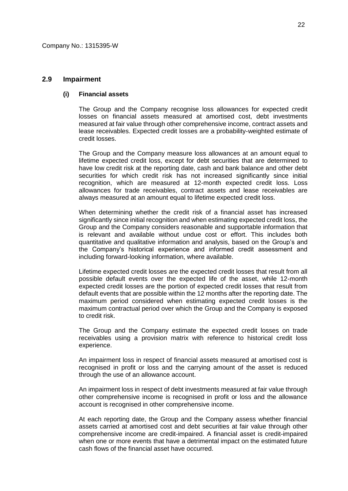#### **2.9 Impairment**

#### **(i) Financial assets**

The Group and the Company recognise loss allowances for expected credit losses on financial assets measured at amortised cost, debt investments measured at fair value through other comprehensive income, contract assets and lease receivables. Expected credit losses are a probability-weighted estimate of credit losses.

The Group and the Company measure loss allowances at an amount equal to lifetime expected credit loss, except for debt securities that are determined to have low credit risk at the reporting date, cash and bank balance and other debt securities for which credit risk has not increased significantly since initial recognition, which are measured at 12-month expected credit loss. Loss allowances for trade receivables, contract assets and lease receivables are always measured at an amount equal to lifetime expected credit loss.

When determining whether the credit risk of a financial asset has increased significantly since initial recognition and when estimating expected credit loss, the Group and the Company considers reasonable and supportable information that is relevant and available without undue cost or effort. This includes both quantitative and qualitative information and analysis, based on the Group's and the Company's historical experience and informed credit assessment and including forward-looking information, where available.

Lifetime expected credit losses are the expected credit losses that result from all possible default events over the expected life of the asset, while 12-month expected credit losses are the portion of expected credit losses that result from default events that are possible within the 12 months after the reporting date. The maximum period considered when estimating expected credit losses is the maximum contractual period over which the Group and the Company is exposed to credit risk.

The Group and the Company estimate the expected credit losses on trade receivables using a provision matrix with reference to historical credit loss experience.

An impairment loss in respect of financial assets measured at amortised cost is recognised in profit or loss and the carrying amount of the asset is reduced through the use of an allowance account.

An impairment loss in respect of debt investments measured at fair value through other comprehensive income is recognised in profit or loss and the allowance account is recognised in other comprehensive income.

At each reporting date, the Group and the Company assess whether financial assets carried at amortised cost and debt securities at fair value through other comprehensive income are credit-impaired. A financial asset is credit-impaired when one or more events that have a detrimental impact on the estimated future cash flows of the financial asset have occurred.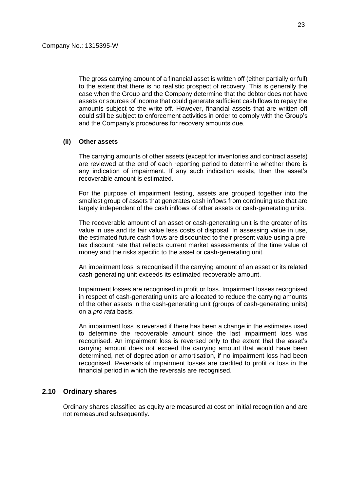The gross carrying amount of a financial asset is written off (either partially or full) to the extent that there is no realistic prospect of recovery. This is generally the case when the Group and the Company determine that the debtor does not have assets or sources of income that could generate sufficient cash flows to repay the amounts subject to the write-off. However, financial assets that are written off could still be subject to enforcement activities in order to comply with the Group's and the Company's procedures for recovery amounts due.

#### **(ii) Other assets**

The carrying amounts of other assets (except for inventories and contract assets) are reviewed at the end of each reporting period to determine whether there is any indication of impairment. If any such indication exists, then the asset's recoverable amount is estimated.

For the purpose of impairment testing, assets are grouped together into the smallest group of assets that generates cash inflows from continuing use that are largely independent of the cash inflows of other assets or cash-generating units.

The recoverable amount of an asset or cash-generating unit is the greater of its value in use and its fair value less costs of disposal. In assessing value in use, the estimated future cash flows are discounted to their present value using a pretax discount rate that reflects current market assessments of the time value of money and the risks specific to the asset or cash-generating unit.

An impairment loss is recognised if the carrying amount of an asset or its related cash-generating unit exceeds its estimated recoverable amount.

Impairment losses are recognised in profit or loss. Impairment losses recognised in respect of cash-generating units are allocated to reduce the carrying amounts of the other assets in the cash-generating unit (groups of cash-generating units) on a *pro rata* basis.

An impairment loss is reversed if there has been a change in the estimates used to determine the recoverable amount since the last impairment loss was recognised. An impairment loss is reversed only to the extent that the asset's carrying amount does not exceed the carrying amount that would have been determined, net of depreciation or amortisation, if no impairment loss had been recognised. Reversals of impairment losses are credited to profit or loss in the financial period in which the reversals are recognised.

## **2.10 Ordinary shares**

Ordinary shares classified as equity are measured at cost on initial recognition and are not remeasured subsequently.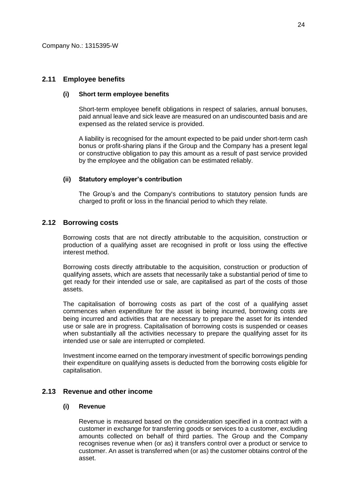## **2.11 Employee benefits**

#### **(i) Short term employee benefits**

Short-term employee benefit obligations in respect of salaries, annual bonuses, paid annual leave and sick leave are measured on an undiscounted basis and are expensed as the related service is provided.

A liability is recognised for the amount expected to be paid under short-term cash bonus or profit-sharing plans if the Group and the Company has a present legal or constructive obligation to pay this amount as a result of past service provided by the employee and the obligation can be estimated reliably.

### **(ii) Statutory employer's contribution**

The Group's and the Company's contributions to statutory pension funds are charged to profit or loss in the financial period to which they relate.

## **2.12 Borrowing costs**

Borrowing costs that are not directly attributable to the acquisition, construction or production of a qualifying asset are recognised in profit or loss using the effective interest method.

Borrowing costs directly attributable to the acquisition, construction or production of qualifying assets, which are assets that necessarily take a substantial period of time to get ready for their intended use or sale, are capitalised as part of the costs of those assets.

The capitalisation of borrowing costs as part of the cost of a qualifying asset commences when expenditure for the asset is being incurred, borrowing costs are being incurred and activities that are necessary to prepare the asset for its intended use or sale are in progress. Capitalisation of borrowing costs is suspended or ceases when substantially all the activities necessary to prepare the qualifying asset for its intended use or sale are interrupted or completed.

Investment income earned on the temporary investment of specific borrowings pending their expenditure on qualifying assets is deducted from the borrowing costs eligible for capitalisation.

## **2.13 Revenue and other income**

#### **(i) Revenue**

Revenue is measured based on the consideration specified in a contract with a customer in exchange for transferring goods or services to a customer, excluding amounts collected on behalf of third parties. The Group and the Company recognises revenue when (or as) it transfers control over a product or service to customer. An asset is transferred when (or as) the customer obtains control of the asset.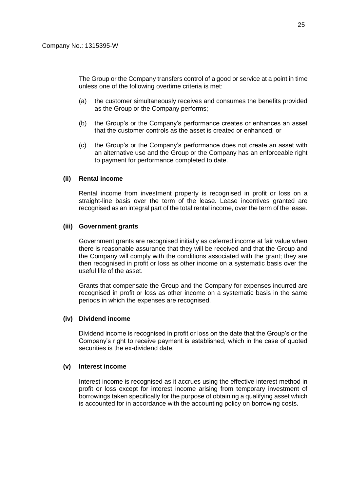The Group or the Company transfers control of a good or service at a point in time unless one of the following overtime criteria is met:

- (a) the customer simultaneously receives and consumes the benefits provided as the Group or the Company performs;
- (b) the Group's or the Company's performance creates or enhances an asset that the customer controls as the asset is created or enhanced; or
- (c) the Group's or the Company's performance does not create an asset with an alternative use and the Group or the Company has an enforceable right to payment for performance completed to date.

#### **(ii) Rental income**

Rental income from investment property is recognised in profit or loss on a straight-line basis over the term of the lease. Lease incentives granted are recognised as an integral part of the total rental income, over the term of the lease.

#### **(iii) Government grants**

Government grants are recognised initially as deferred income at fair value when there is reasonable assurance that they will be received and that the Group and the Company will comply with the conditions associated with the grant; they are then recognised in profit or loss as other income on a systematic basis over the useful life of the asset.

Grants that compensate the Group and the Company for expenses incurred are recognised in profit or loss as other income on a systematic basis in the same periods in which the expenses are recognised.

#### **(iv) Dividend income**

Dividend income is recognised in profit or loss on the date that the Group's or the Company's right to receive payment is established, which in the case of quoted securities is the ex-dividend date.

#### **(v) Interest income**

Interest income is recognised as it accrues using the effective interest method in profit or loss except for interest income arising from temporary investment of borrowings taken specifically for the purpose of obtaining a qualifying asset which is accounted for in accordance with the accounting policy on borrowing costs.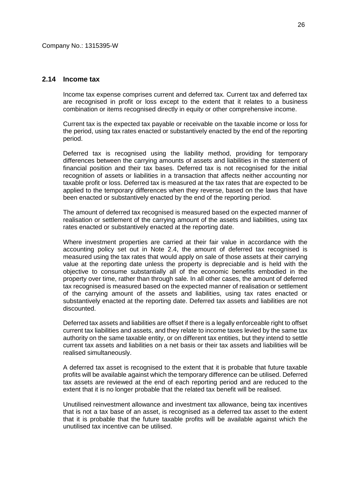## **2.14 Income tax**

Income tax expense comprises current and deferred tax. Current tax and deferred tax are recognised in profit or loss except to the extent that it relates to a business combination or items recognised directly in equity or other comprehensive income.

Current tax is the expected tax payable or receivable on the taxable income or loss for the period, using tax rates enacted or substantively enacted by the end of the reporting period.

Deferred tax is recognised using the liability method, providing for temporary differences between the carrying amounts of assets and liabilities in the statement of financial position and their tax bases. Deferred tax is not recognised for the initial recognition of assets or liabilities in a transaction that affects neither accounting nor taxable profit or loss. Deferred tax is measured at the tax rates that are expected to be applied to the temporary differences when they reverse, based on the laws that have been enacted or substantively enacted by the end of the reporting period.

The amount of deferred tax recognised is measured based on the expected manner of realisation or settlement of the carrying amount of the assets and liabilities, using tax rates enacted or substantively enacted at the reporting date.

Where investment properties are carried at their fair value in accordance with the accounting policy set out in Note 2.4, the amount of deferred tax recognised is measured using the tax rates that would apply on sale of those assets at their carrying value at the reporting date unless the property is depreciable and is held with the objective to consume substantially all of the economic benefits embodied in the property over time, rather than through sale. In all other cases, the amount of deferred tax recognised is measured based on the expected manner of realisation or settlement of the carrying amount of the assets and liabilities, using tax rates enacted or substantively enacted at the reporting date. Deferred tax assets and liabilities are not discounted.

Deferred tax assets and liabilities are offset if there is a legally enforceable right to offset current tax liabilities and assets, and they relate to income taxes levied by the same tax authority on the same taxable entity, or on different tax entities, but they intend to settle current tax assets and liabilities on a net basis or their tax assets and liabilities will be realised simultaneously.

A deferred tax asset is recognised to the extent that it is probable that future taxable profits will be available against which the temporary difference can be utilised. Deferred tax assets are reviewed at the end of each reporting period and are reduced to the extent that it is no longer probable that the related tax benefit will be realised.

Unutilised reinvestment allowance and investment tax allowance, being tax incentives that is not a tax base of an asset, is recognised as a deferred tax asset to the extent that it is probable that the future taxable profits will be available against which the unutilised tax incentive can be utilised.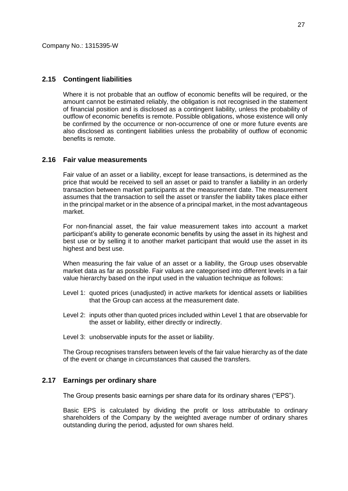## **2.15 Contingent liabilities**

Where it is not probable that an outflow of economic benefits will be required, or the amount cannot be estimated reliably, the obligation is not recognised in the statement of financial position and is disclosed as a contingent liability, unless the probability of outflow of economic benefits is remote. Possible obligations, whose existence will only be confirmed by the occurrence or non-occurrence of one or more future events are also disclosed as contingent liabilities unless the probability of outflow of economic benefits is remote.

## **2.16 Fair value measurements**

Fair value of an asset or a liability, except for lease transactions, is determined as the price that would be received to sell an asset or paid to transfer a liability in an orderly transaction between market participants at the measurement date. The measurement assumes that the transaction to sell the asset or transfer the liability takes place either in the principal market or in the absence of a principal market, in the most advantageous market.

For non-financial asset, the fair value measurement takes into account a market participant's ability to generate economic benefits by using the asset in its highest and best use or by selling it to another market participant that would use the asset in its highest and best use.

When measuring the fair value of an asset or a liability, the Group uses observable market data as far as possible. Fair values are categorised into different levels in a fair value hierarchy based on the input used in the valuation technique as follows:

- Level 1: quoted prices (unadjusted) in active markets for identical assets or liabilities that the Group can access at the measurement date.
- Level 2: inputs other than quoted prices included within Level 1 that are observable for the asset or liability, either directly or indirectly.
- Level 3: unobservable inputs for the asset or liability.

The Group recognises transfers between levels of the fair value hierarchy as of the date of the event or change in circumstances that caused the transfers.

## **2.17 Earnings per ordinary share**

The Group presents basic earnings per share data for its ordinary shares ("EPS").

Basic EPS is calculated by dividing the profit or loss attributable to ordinary shareholders of the Company by the weighted average number of ordinary shares outstanding during the period, adjusted for own shares held.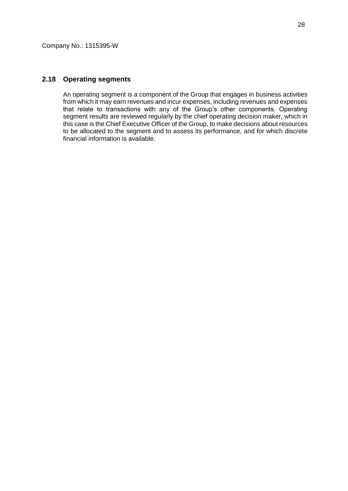### **2.18 Operating segments**

An operating segment is a component of the Group that engages in business activities from which it may earn revenues and incur expenses, including revenues and expenses that relate to transactions with any of the Group's other components. Operating segment results are reviewed regularly by the chief operating decision maker, which in this case is the Chief Executive Officer of the Group, to make decisions about resources to be allocated to the segment and to assess its performance, and for which discrete financial information is available.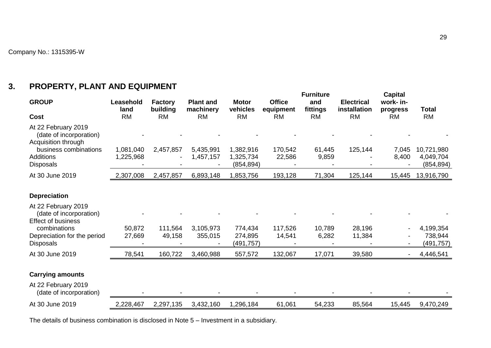# **3. PROPERTY, PLANT AND EQUIPMENT**

|                                                                                                                                        |                        |                            |                               |                                      |                            | <b>Furniture</b> |                                   | <b>Capital</b>           |                                       |
|----------------------------------------------------------------------------------------------------------------------------------------|------------------------|----------------------------|-------------------------------|--------------------------------------|----------------------------|------------------|-----------------------------------|--------------------------|---------------------------------------|
| <b>GROUP</b>                                                                                                                           | Leasehold<br>land      | <b>Factory</b><br>building | <b>Plant and</b><br>machinery | <b>Motor</b><br>vehicles             | <b>Office</b><br>equipment | and<br>fittings  | <b>Electrical</b><br>installation | work- in-<br>progress    | <b>Total</b>                          |
| Cost                                                                                                                                   | <b>RM</b>              | <b>RM</b>                  | <b>RM</b>                     | <b>RM</b>                            | <b>RM</b>                  | <b>RM</b>        | <b>RM</b>                         | <b>RM</b>                | <b>RM</b>                             |
| At 22 February 2019<br>(date of incorporation)<br>Acquisition through<br>business combinations<br><b>Additions</b><br><b>Disposals</b> | 1,081,040<br>1,225,968 | 2,457,857                  | 5,435,991<br>1,457,157        | 1,382,916<br>1,325,734<br>(854, 894) | 170,542<br>22,586          | 61,445<br>9,859  | 125,144                           | 7,045<br>8,400           | 10,721,980<br>4,049,704<br>(854, 894) |
| At 30 June 2019                                                                                                                        | 2,307,008              | 2,457,857                  | 6,893,148                     | 1,853,756                            | 193,128                    | 71,304           | 125,144                           | 15,445                   | 13,916,790                            |
|                                                                                                                                        |                        |                            |                               |                                      |                            |                  |                                   |                          |                                       |
| <b>Depreciation</b>                                                                                                                    |                        |                            |                               |                                      |                            |                  |                                   |                          |                                       |
| At 22 February 2019<br>(date of incorporation)<br><b>Effect of business</b>                                                            |                        |                            |                               |                                      |                            |                  |                                   |                          |                                       |
| combinations                                                                                                                           | 50,872                 | 111,564                    | 3,105,973                     | 774,434                              | 117,526                    | 10,789           | 28,196                            |                          | 4,199,354                             |
| Depreciation for the period<br><b>Disposals</b>                                                                                        | 27,669                 | 49,158                     | 355,015                       | 274,895<br>(491, 757)                | 14,541                     | 6,282            | 11,384                            |                          | 738,944<br>(491, 757)                 |
| At 30 June 2019                                                                                                                        | 78,541                 | 160,722                    | 3,460,988                     | 557,572                              | 132,067                    | 17,071           | 39,580                            | $\overline{\phantom{a}}$ | 4,446,541                             |
|                                                                                                                                        |                        |                            |                               |                                      |                            |                  |                                   |                          |                                       |
| <b>Carrying amounts</b>                                                                                                                |                        |                            |                               |                                      |                            |                  |                                   |                          |                                       |
| At 22 February 2019<br>(date of incorporation)                                                                                         |                        |                            |                               |                                      |                            |                  |                                   |                          |                                       |
| At 30 June 2019                                                                                                                        | 2,228,467              | 2,297,135                  | 3,432,160                     | 1,296,184                            | 61,061                     | 54,233           | 85,564                            | 15,445                   | 9,470,249                             |
|                                                                                                                                        |                        |                            |                               |                                      |                            |                  |                                   |                          |                                       |

The details of business combination is disclosed in Note 5 – Investment in a subsidiary.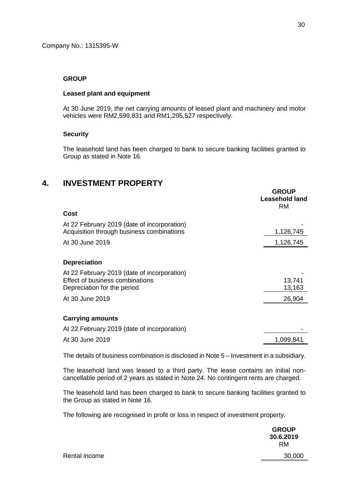#### **GROUP**

#### **Leased plant and equipment**

At 30 June 2019, the net carrying amounts of leased plant and machinery and motor vehicles were RM2,599,831 and RM1,295,527 respectively.

### **Security**

The leasehold land has been charged to bank to secure banking facilities granted to Group as stated in Note 16.

# **4. INVESTMENT PROPERTY**

|                                                                                                               | <b>GROUP</b><br>Leasehold land<br><b>RM</b> |
|---------------------------------------------------------------------------------------------------------------|---------------------------------------------|
| Cost                                                                                                          |                                             |
| At 22 February 2019 (date of incorporation)<br>Acquisition through business combinations                      | 1,126,745                                   |
| At 30 June 2019                                                                                               | 1,126,745                                   |
| <b>Depreciation</b>                                                                                           |                                             |
| At 22 February 2019 (date of incorporation)<br>Effect of business combinations<br>Depreciation for the period | 13,741<br>13,163                            |
| At 30 June 2019                                                                                               | 26,904                                      |
| <b>Carrying amounts</b>                                                                                       |                                             |
| At 22 February 2019 (date of incorporation)                                                                   |                                             |
| At 30 June 2019                                                                                               | 1,099,841                                   |

The details of business combination is disclosed in Note 5 – Investment in a subsidiary.

The leasehold land was leased to a third party. The lease contains an initial noncancellable period of 2 years as stated in Note 24. No contingent rents are charged.

The leasehold land has been charged to bank to secure banking facilities granted to the Group as stated in Note 16.

The following are recognised in profit or loss in respect of investment property.

|               | <b>GROUP</b><br>30.6.2019<br><b>RM</b> |
|---------------|----------------------------------------|
| Rental income | 30,000                                 |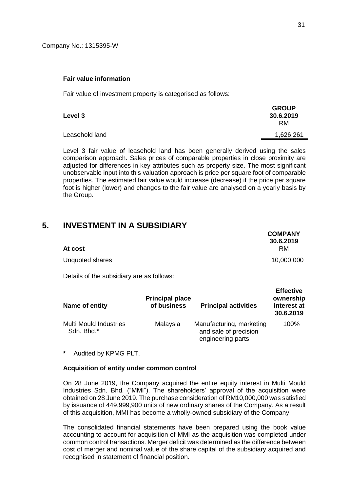#### **Fair value information**

Fair value of investment property is categorised as follows:

| Level 3        | <b>GROUP</b><br>30.6.2019<br>RM. |
|----------------|----------------------------------|
| Leasehold land | 1,626,261                        |

Level 3 fair value of leasehold land has been generally derived using the sales comparison approach. Sales prices of comparable properties in close proximity are adjusted for differences in key attributes such as property size. The most significant unobservable input into this valuation approach is price per square foot of comparable properties. The estimated fair value would increase (decrease) if the price per square foot is higher (lower) and changes to the fair value are analysed on a yearly basis by the Group.

# **5. INVESTMENT IN A SUBSIDIARY**

| At cost         | <b>COMPANY</b><br>30.6.2019<br><b>RM</b> |
|-----------------|------------------------------------------|
| Unquoted shares | 10,000,000                               |
|                 |                                          |

Details of the subsidiary are as follows:

| Name of entity                              | <b>Principal place</b><br>of business | <b>Principal activities</b>                                            | <b>Effective</b><br>ownership<br>interest at<br>30.6.2019 |
|---------------------------------------------|---------------------------------------|------------------------------------------------------------------------|-----------------------------------------------------------|
| <b>Multi Mould Industries</b><br>Sdn. Bhd.* | Malaysia                              | Manufacturing, marketing<br>and sale of precision<br>engineering parts | 100%                                                      |

**\*** Audited by KPMG PLT.

#### **Acquisition of entity under common control**

On 28 June 2019, the Company acquired the entire equity interest in Multi Mould Industries Sdn. Bhd. ("MMI"). The shareholders' approval of the acquisition were obtained on 28 June 2019. The purchase consideration of RM10,000,000 was satisfied by issuance of 449,999,900 units of new ordinary shares of the Company. As a result of this acquisition, MMI has become a wholly-owned subsidiary of the Company.

The consolidated financial statements have been prepared using the book value accounting to account for acquisition of MMI as the acquisition was completed under common control transactions. Merger deficit was determined as the difference between cost of merger and nominal value of the share capital of the subsidiary acquired and recognised in statement of financial position.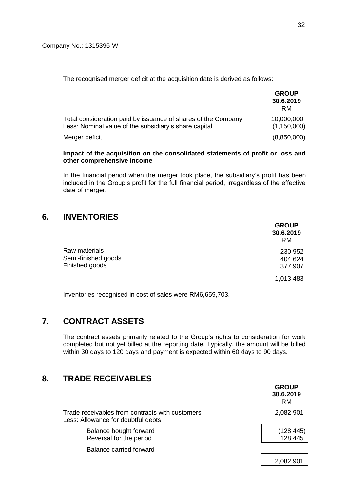The recognised merger deficit at the acquisition date is derived as follows:

|                                                                                                                        | <b>GROUP</b><br>30.6.2019<br><b>RM</b> |
|------------------------------------------------------------------------------------------------------------------------|----------------------------------------|
| Total consideration paid by issuance of shares of the Company<br>Less: Nominal value of the subsidiary's share capital | 10,000,000<br>(1, 150, 000)            |
| Merger deficit                                                                                                         | (8,850,000)                            |

#### **Impact of the acquisition on the consolidated statements of profit or loss and other comprehensive income**

In the financial period when the merger took place, the subsidiary's profit has been included in the Group's profit for the full financial period, irregardless of the effective date of merger.

# **6. INVENTORIES**

|                                                        | <b>GROUP</b><br>30.6.2019<br><b>RM</b> |
|--------------------------------------------------------|----------------------------------------|
| Raw materials<br>Semi-finished goods<br>Finished goods | 230,952<br>404,624<br>377,907          |
|                                                        | 1,013,483                              |
|                                                        |                                        |

Inventories recognised in cost of sales were RM6,659,703.

# **7. CONTRACT ASSETS**

The contract assets primarily related to the Group's rights to consideration for work completed but not yet billed at the reporting date. Typically, the amount will be billed within 30 days to 120 days and payment is expected within 60 days to 90 days.

# **8. TRADE RECEIVABLES**

|                                                                                       | <b>GROUP</b><br>30.6.2019<br><b>RM</b> |
|---------------------------------------------------------------------------------------|----------------------------------------|
| Trade receivables from contracts with customers<br>Less: Allowance for doubtful debts | 2,082,901                              |
| Balance bought forward<br>Reversal for the period                                     | (128, 445)<br>128,445                  |
| Balance carried forward                                                               |                                        |
|                                                                                       | 2.082.901                              |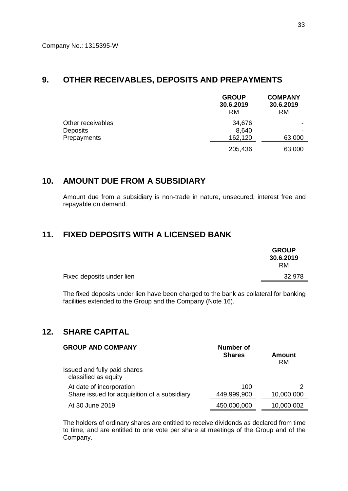## **9. OTHER RECEIVABLES, DEPOSITS AND PREPAYMENTS**

|                   | <b>GROUP</b><br>30.6.2019<br><b>RM</b> | <b>COMPANY</b><br>30.6.2019<br><b>RM</b> |
|-------------------|----------------------------------------|------------------------------------------|
| Other receivables | 34,676                                 |                                          |
| <b>Deposits</b>   | 8,640                                  |                                          |
| Prepayments       | 162,120                                | 63,000                                   |
|                   | 205,436                                | 63,000                                   |

## **10. AMOUNT DUE FROM A SUBSIDIARY**

Amount due from a subsidiary is non-trade in nature, unsecured, interest free and repayable on demand.

## **11. FIXED DEPOSITS WITH A LICENSED BANK**

|                           | <b>GROUP</b><br>30.6.2019<br>RM. |
|---------------------------|----------------------------------|
| Fixed deposits under lien | 32,978                           |

The fixed deposits under lien have been charged to the bank as collateral for banking facilities extended to the Group and the Company (Note 16).

# **12. SHARE CAPITAL**

| <b>GROUP AND COMPANY</b>                                                 | Number of<br><b>Shares</b><br><b>Amount</b> |            |
|--------------------------------------------------------------------------|---------------------------------------------|------------|
| Issued and fully paid shares<br>classified as equity                     |                                             |            |
| At date of incorporation<br>Share issued for acquisition of a subsidiary | 100<br>449,999,900                          | 10,000,000 |
| At 30 June 2019                                                          | 450,000,000                                 | 10,000,002 |

The holders of ordinary shares are entitled to receive dividends as declared from time to time, and are entitled to one vote per share at meetings of the Group and of the Company.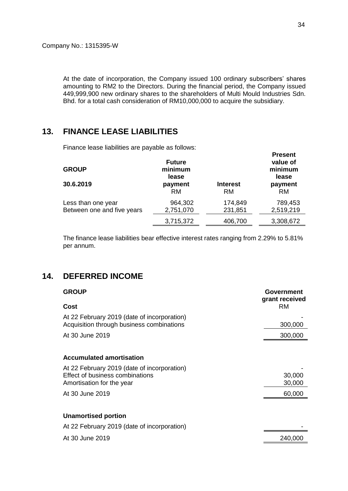At the date of incorporation, the Company issued 100 ordinary subscribers' shares amounting to RM2 to the Directors. During the financial period, the Company issued 449,999,900 new ordinary shares to the shareholders of Multi Mould Industries Sdn. Bhd. for a total cash consideration of RM10,000,000 to acquire the subsidiary.

# **13. FINANCE LEASE LIABILITIES**

Finance lease liabilities are payable as follows:

| <b>GROUP</b><br>30.6.2019                        | <b>Future</b><br>minimum<br>lease<br>payment<br><b>RM</b> | <b>Interest</b><br>RM. | value of<br>minimum<br>lease<br>payment<br><b>RM</b> |
|--------------------------------------------------|-----------------------------------------------------------|------------------------|------------------------------------------------------|
| Less than one year<br>Between one and five years | 964,302<br>2,751,070                                      | 174,849<br>231,851     | 789,453<br>2,519,219                                 |
|                                                  | 3,715,372                                                 | 406,700                | 3,308,672                                            |

The finance lease liabilities bear effective interest rates ranging from 2.29% to 5.81% per annum.

# **14. DEFERRED INCOME**

| <b>GROUP</b>                                                                                                | Government<br>grant received |
|-------------------------------------------------------------------------------------------------------------|------------------------------|
| Cost                                                                                                        | <b>RM</b>                    |
| At 22 February 2019 (date of incorporation)<br>Acquisition through business combinations                    | 300,000                      |
| At 30 June 2019                                                                                             | 300,000                      |
|                                                                                                             |                              |
| <b>Accumulated amortisation</b>                                                                             |                              |
| At 22 February 2019 (date of incorporation)<br>Effect of business combinations<br>Amortisation for the year | 30,000<br>30,000             |
| At 30 June 2019                                                                                             | 60,000                       |
|                                                                                                             |                              |
| <b>Unamortised portion</b>                                                                                  |                              |
| At 22 February 2019 (date of incorporation)                                                                 |                              |
| At 30 June 2019                                                                                             | 240,000                      |

**Present**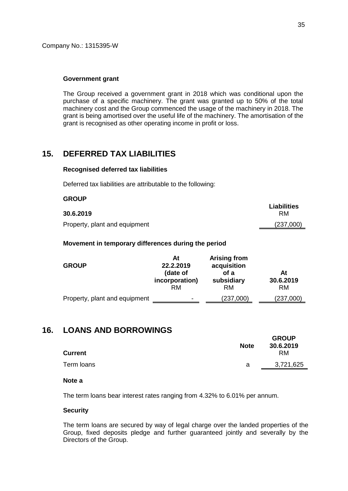**GROUP**

#### **Government grant**

The Group received a government grant in 2018 which was conditional upon the purchase of a specific machinery. The grant was granted up to 50% of the total machinery cost and the Group commenced the usage of the machinery in 2018. The grant is being amortised over the useful life of the machinery. The amortisation of the grant is recognised as other operating income in profit or loss.

## **15. DEFERRED TAX LIABILITIES**

#### **Recognised deferred tax liabilities**

Deferred tax liabilities are attributable to the following:

| uruur                         | Liabilities |
|-------------------------------|-------------|
| 30.6.2019                     | RM          |
| Property, plant and equipment | (237,000)   |

#### **Movement in temporary differences during the period**

| <b>GROUP</b>                  | At<br>22.2.2019<br>(date of<br>incorporation)<br><b>RM</b> | <b>Arising from</b><br>acquisition<br>of a<br>subsidiary<br><b>RM</b> | At<br>30.6.2019<br>RM. |
|-------------------------------|------------------------------------------------------------|-----------------------------------------------------------------------|------------------------|
| Property, plant and equipment | ۰                                                          | (237,000)                                                             | (237,000)              |

# **16. LOANS AND BORROWINGS**

| <b>Note</b> | <b>GROUP</b><br>30.6.2019<br>RM. |
|-------------|----------------------------------|
| а           | 3,721,625                        |
|             |                                  |

### **Note a**

The term loans bear interest rates ranging from 4.32% to 6.01% per annum.

#### **Security**

The term loans are secured by way of legal charge over the landed properties of the Group, fixed deposits pledge and further guaranteed jointly and severally by the Directors of the Group.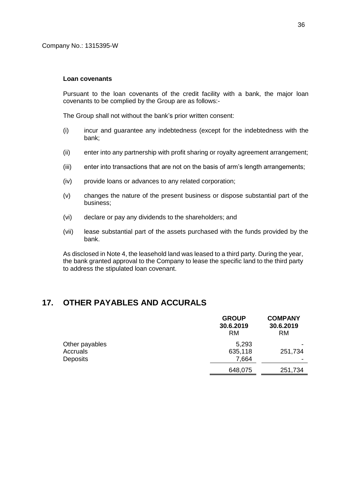#### **Loan covenants**

Pursuant to the loan covenants of the credit facility with a bank, the major loan covenants to be complied by the Group are as follows:-

The Group shall not without the bank's prior written consent:

- (i) incur and guarantee any indebtedness (except for the indebtedness with the bank;
- (ii) enter into any partnership with profit sharing or royalty agreement arrangement;
- (iii) enter into transactions that are not on the basis of arm's length arrangements;
- (iv) provide loans or advances to any related corporation;
- (v) changes the nature of the present business or dispose substantial part of the business;
- (vi) declare or pay any dividends to the shareholders; and
- (vii) lease substantial part of the assets purchased with the funds provided by the bank.

As disclosed in Note 4, the leasehold land was leased to a third party. During the year, the bank granted approval to the Company to lease the specific land to the third party to address the stipulated loan covenant.

## **17. OTHER PAYABLES AND ACCURALS**

|                 | <b>GROUP</b><br>30.6.2019<br><b>RM</b> | <b>COMPANY</b><br>30.6.2019<br><b>RM</b> |
|-----------------|----------------------------------------|------------------------------------------|
| Other payables  | 5,293                                  |                                          |
| Accruals        | 635,118                                | 251,734                                  |
| <b>Deposits</b> | 7,664                                  |                                          |
|                 | 648,075                                | 251,734                                  |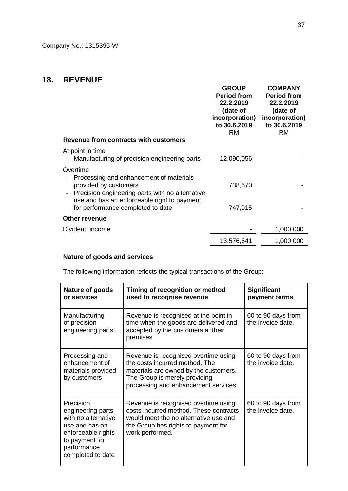# **18. REVENUE**

| Revenue from contracts with customers                                                                                                                                                                               | <b>GROUP</b><br><b>Period from</b><br>22.2.2019<br>(date of<br>incorporation)<br>to 30.6.2019<br><b>RM</b> | <b>COMPANY</b><br><b>Period from</b><br>22.2.2019<br>(date of<br>incorporation)<br>to 30.6.2019<br><b>RM</b> |
|---------------------------------------------------------------------------------------------------------------------------------------------------------------------------------------------------------------------|------------------------------------------------------------------------------------------------------------|--------------------------------------------------------------------------------------------------------------|
| At point in time<br>Manufacturing of precision engineering parts                                                                                                                                                    | 12,090,056                                                                                                 |                                                                                                              |
| Overtime<br>Processing and enhancement of materials<br>provided by customers<br>Precision engineering parts with no alternative<br>use and has an enforceable right to payment<br>for performance completed to date | 738,670<br>747,915                                                                                         |                                                                                                              |
| <b>Other revenue</b>                                                                                                                                                                                                |                                                                                                            |                                                                                                              |
| Dividend income                                                                                                                                                                                                     |                                                                                                            | 1,000,000                                                                                                    |
|                                                                                                                                                                                                                     | 13,576,641                                                                                                 | 1,000,000                                                                                                    |

# **Nature of goods and services**

The following information reflects the typical transactions of the Group:

| Nature of goods<br>or services                                                                                                                      | Timing of recognition or method<br>used to recognise revenue                                                                                                                             | <b>Significant</b><br>payment terms     |
|-----------------------------------------------------------------------------------------------------------------------------------------------------|------------------------------------------------------------------------------------------------------------------------------------------------------------------------------------------|-----------------------------------------|
| Manufacturing<br>of precision<br>engineering parts                                                                                                  | Revenue is recognised at the point in<br>time when the goods are delivered and<br>accepted by the customers at their<br>premises.                                                        | 60 to 90 days from<br>the invoice date. |
| Processing and<br>enhancement of<br>materials provided<br>by customers                                                                              | Revenue is recognised overtime using<br>the costs incurred method. The<br>materials are owned by the customers.<br>The Group is merely providing<br>processing and enhancement services. | 60 to 90 days from<br>the invoice date. |
| Precision<br>engineering parts<br>with no alternative<br>use and has an<br>enforceable rights<br>to payment for<br>performance<br>completed to date | Revenue is recognised overtime using<br>costs incurred method. These contracts<br>would meet the no alternative use and<br>the Group has rights to payment for<br>work performed.        | 60 to 90 days from<br>the invoice date. |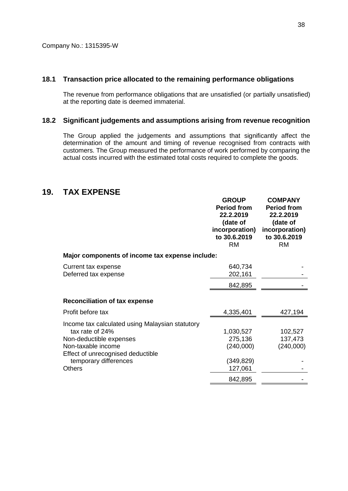### **18.1 Transaction price allocated to the remaining performance obligations**

The revenue from performance obligations that are unsatisfied (or partially unsatisfied) at the reporting date is deemed immaterial.

#### **18.2 Significant judgements and assumptions arising from revenue recognition**

The Group applied the judgements and assumptions that significantly affect the determination of the amount and timing of revenue recognised from contracts with customers. The Group measured the performance of work performed by comparing the actual costs incurred with the estimated total costs required to complete the goods.

## **19. TAX EXPENSE**

|                                                                                                                                                                                                    | <b>GROUP</b><br><b>Period from</b><br>22.2.2019<br>(date of<br>incorporation)<br>to 30.6.2019<br><b>RM</b> | <b>COMPANY</b><br><b>Period from</b><br>22.2.2019<br>(date of<br>incorporation)<br>to 30.6.2019<br><b>RM</b> |
|----------------------------------------------------------------------------------------------------------------------------------------------------------------------------------------------------|------------------------------------------------------------------------------------------------------------|--------------------------------------------------------------------------------------------------------------|
| Major components of income tax expense include:                                                                                                                                                    |                                                                                                            |                                                                                                              |
| Current tax expense<br>Deferred tax expense                                                                                                                                                        | 640,734<br>202,161                                                                                         |                                                                                                              |
|                                                                                                                                                                                                    | 842,895                                                                                                    |                                                                                                              |
| <b>Reconciliation of tax expense</b>                                                                                                                                                               |                                                                                                            |                                                                                                              |
| Profit before tax                                                                                                                                                                                  | 4,335,401                                                                                                  | 427,194                                                                                                      |
| Income tax calculated using Malaysian statutory<br>tax rate of 24%<br>Non-deductible expenses<br>Non-taxable income<br>Effect of unrecognised deductible<br>temporary differences<br><b>Others</b> | 1,030,527<br>275,136<br>(240,000)<br>(349, 829)<br>127,061                                                 | 102,527<br>137,473<br>(240,000)                                                                              |
|                                                                                                                                                                                                    | 842,895                                                                                                    |                                                                                                              |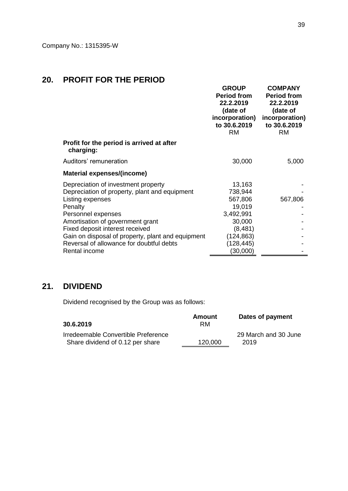# **20. PROFIT FOR THE PERIOD**

|                                                                                                                                                                                                                                                                                                                   | <b>GROUP</b><br><b>Period from</b><br>22.2.2019<br>(date of<br>incorporation)<br>to 30.6.2019<br><b>RM</b> | <b>COMPANY</b><br><b>Period from</b><br>22.2.2019<br>(date of<br>incorporation)<br>to 30.6.2019<br><b>RM</b> |
|-------------------------------------------------------------------------------------------------------------------------------------------------------------------------------------------------------------------------------------------------------------------------------------------------------------------|------------------------------------------------------------------------------------------------------------|--------------------------------------------------------------------------------------------------------------|
| Profit for the period is arrived at after<br>charging:                                                                                                                                                                                                                                                            |                                                                                                            |                                                                                                              |
| Auditors' remuneration                                                                                                                                                                                                                                                                                            | 30,000                                                                                                     | 5,000                                                                                                        |
| Material expenses/(income)                                                                                                                                                                                                                                                                                        |                                                                                                            |                                                                                                              |
| Depreciation of investment property<br>Depreciation of property, plant and equipment<br>Listing expenses<br>Penalty<br>Personnel expenses<br>Amortisation of government grant<br>Fixed deposit interest received<br>Gain on disposal of property, plant and equipment<br>Reversal of allowance for doubtful debts | 13,163<br>738,944<br>567,806<br>19,019<br>3,492,991<br>30,000<br>(8,481)<br>(124,863)<br>(128, 445)        | 567,806                                                                                                      |
| Rental income                                                                                                                                                                                                                                                                                                     | (30,000)                                                                                                   |                                                                                                              |

# **21. DIVIDEND**

Dividend recognised by the Group was as follows:

| 30.6.2019                                                               | Amount<br>RM | Dates of payment             |
|-------------------------------------------------------------------------|--------------|------------------------------|
| Irredeemable Convertible Preference<br>Share dividend of 0.12 per share | 120,000      | 29 March and 30 June<br>2019 |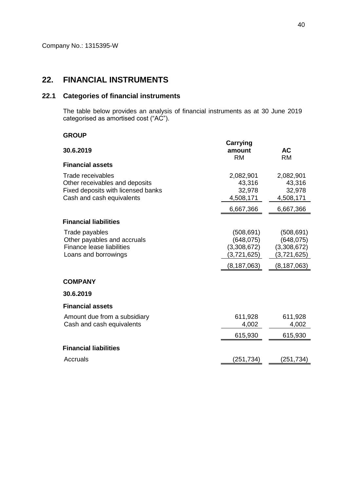# **22. FINANCIAL INSTRUMENTS**

## **22.1 Categories of financial instruments**

The table below provides an analysis of financial instruments as at 30 June 2019 categorised as amortised cost ("AC").

### **GROUP**

| 30.6.2019                                                                                                              | <b>Carrying</b><br>amount<br><b>RM</b>                                  | <b>AC</b><br><b>RM</b>                                                  |
|------------------------------------------------------------------------------------------------------------------------|-------------------------------------------------------------------------|-------------------------------------------------------------------------|
| <b>Financial assets</b>                                                                                                |                                                                         |                                                                         |
| Trade receivables<br>Other receivables and deposits<br>Fixed deposits with licensed banks<br>Cash and cash equivalents | 2,082,901<br>43,316<br>32,978<br>4,508,171                              | 2,082,901<br>43,316<br>32,978<br>4,508,171                              |
|                                                                                                                        | 6,667,366                                                               | 6,667,366                                                               |
| <b>Financial liabilities</b>                                                                                           |                                                                         |                                                                         |
| Trade payables<br>Other payables and accruals<br><b>Finance lease liabilities</b><br>Loans and borrowings              | (508, 691)<br>(648, 075)<br>(3,308,672)<br>(3,721,625)<br>(8, 187, 063) | (508, 691)<br>(648, 075)<br>(3,308,672)<br>(3,721,625)<br>(8, 187, 063) |
| <b>COMPANY</b>                                                                                                         |                                                                         |                                                                         |
| 30.6.2019                                                                                                              |                                                                         |                                                                         |
| <b>Financial assets</b>                                                                                                |                                                                         |                                                                         |
| Amount due from a subsidiary<br>Cash and cash equivalents                                                              | 611,928<br>4,002                                                        | 611,928<br>4,002                                                        |
|                                                                                                                        | 615,930                                                                 | 615,930                                                                 |
| <b>Financial liabilities</b>                                                                                           |                                                                         |                                                                         |
| Accruals                                                                                                               | (251,734)                                                               | (251,734)                                                               |
|                                                                                                                        |                                                                         |                                                                         |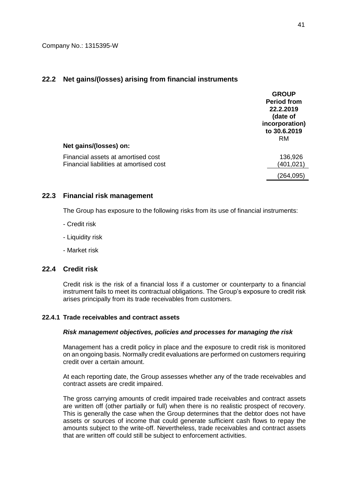## **22.2 Net gains/(losses) arising from financial instruments**

| Net gains/(losses) on:                  | <b>GROUP</b><br><b>Period from</b><br>22.2.2019<br>(date of<br>incorporation)<br>to 30.6.2019<br><b>RM</b> |
|-----------------------------------------|------------------------------------------------------------------------------------------------------------|
| Financial assets at amortised cost      | 136,926                                                                                                    |
| Financial liabilities at amortised cost | (401,021)                                                                                                  |
|                                         | 264,095)                                                                                                   |

### **22.3 Financial risk management**

The Group has exposure to the following risks from its use of financial instruments:

- Credit risk
- Liquidity risk
- Market risk

### **22.4 Credit risk**

Credit risk is the risk of a financial loss if a customer or counterparty to a financial instrument fails to meet its contractual obligations. The Group's exposure to credit risk arises principally from its trade receivables from customers.

### **22.4.1 Trade receivables and contract assets**

#### *Risk management objectives, policies and processes for managing the risk*

Management has a credit policy in place and the exposure to credit risk is monitored on an ongoing basis. Normally credit evaluations are performed on customers requiring credit over a certain amount.

At each reporting date, the Group assesses whether any of the trade receivables and contract assets are credit impaired.

The gross carrying amounts of credit impaired trade receivables and contract assets are written off (other partially or full) when there is no realistic prospect of recovery. This is generally the case when the Group determines that the debtor does not have assets or sources of income that could generate sufficient cash flows to repay the amounts subject to the write-off. Nevertheless, trade receivables and contract assets that are written off could still be subject to enforcement activities.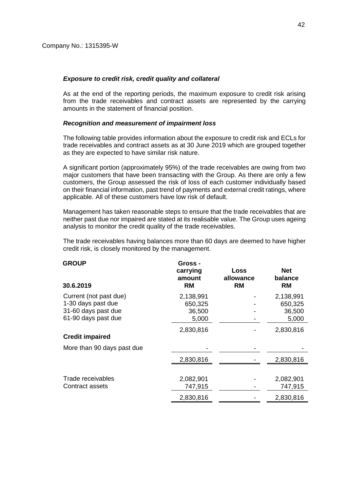#### *Exposure to credit risk, credit quality and collateral*

As at the end of the reporting periods, the maximum exposure to credit risk arising from the trade receivables and contract assets are represented by the carrying amounts in the statement of financial position.

#### *Recognition and measurement of impairment loss*

The following table provides information about the exposure to credit risk and ECLs for trade receivables and contract assets as at 30 June 2019 which are grouped together as they are expected to have similar risk nature.

A significant portion (approximately 95%) of the trade receivables are owing from two major customers that have been transacting with the Group. As there are only a few customers, the Group assessed the risk of loss of each customer individually based on their financial information, past trend of payments and external credit ratings, where applicable. All of these customers have low risk of default.

Management has taken reasonable steps to ensure that the trade receivables that are neither past due nor impaired are stated at its realisable value. The Group uses ageing analysis to monitor the credit quality of the trade receivables.

The trade receivables having balances more than 60 days are deemed to have higher credit risk, is closely monitored by the management.

| <b>GROUP</b><br>30.6.2019  | Gross -<br>carrying<br>amount<br><b>RM</b> | Loss<br>allowance<br><b>RM</b> | <b>Net</b><br>balance<br><b>RM</b> |
|----------------------------|--------------------------------------------|--------------------------------|------------------------------------|
| Current (not past due)     | 2,138,991                                  |                                | 2,138,991                          |
| 1-30 days past due         | 650,325                                    |                                | 650,325                            |
| 31-60 days past due        | 36,500                                     |                                | 36,500                             |
| 61-90 days past due        | 5,000                                      |                                | 5,000                              |
| <b>Credit impaired</b>     | 2,830,816                                  |                                | 2,830,816                          |
| More than 90 days past due |                                            |                                |                                    |
|                            | 2,830,816                                  |                                | 2,830,816                          |
|                            |                                            |                                |                                    |
| Trade receivables          | 2,082,901                                  |                                | 2,082,901                          |
| Contract assets            | 747,915                                    |                                | 747,915                            |
|                            | 2,830,816                                  |                                | 2,830,816                          |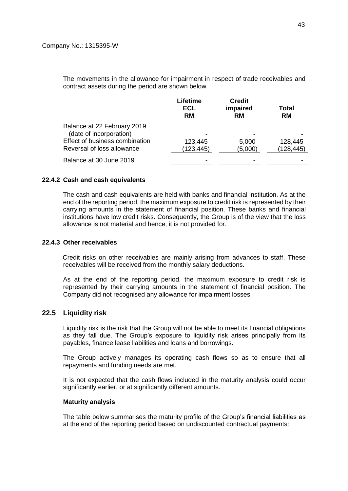The movements in the allowance for impairment in respect of trade receivables and contract assets during the period are shown below.

|                                                              | Lifetime<br>ECL<br><b>RM</b> | <b>Credit</b><br>impaired<br><b>RM</b> | Total<br><b>RM</b>    |
|--------------------------------------------------------------|------------------------------|----------------------------------------|-----------------------|
| Balance at 22 February 2019<br>(date of incorporation)       |                              |                                        |                       |
| Effect of business combination<br>Reversal of loss allowance | 123,445<br>(123, 445)        | 5,000<br>(5,000)                       | 128,445<br>(128, 445) |
| Balance at 30 June 2019                                      |                              |                                        |                       |

#### **22.4.2 Cash and cash equivalents**

The cash and cash equivalents are held with banks and financial institution. As at the end of the reporting period, the maximum exposure to credit risk is represented by their carrying amounts in the statement of financial position. These banks and financial institutions have low credit risks. Consequently, the Group is of the view that the loss allowance is not material and hence, it is not provided for.

#### **22.4.3 Other receivables**

Credit risks on other receivables are mainly arising from advances to staff. These receivables will be received from the monthly salary deductions.

As at the end of the reporting period, the maximum exposure to credit risk is represented by their carrying amounts in the statement of financial position. The Company did not recognised any allowance for impairment losses.

### **22.5 Liquidity risk**

Liquidity risk is the risk that the Group will not be able to meet its financial obligations as they fall due. The Group's exposure to liquidity risk arises principally from its payables, finance lease liabilities and loans and borrowings.

The Group actively manages its operating cash flows so as to ensure that all repayments and funding needs are met.

It is not expected that the cash flows included in the maturity analysis could occur significantly earlier, or at significantly different amounts.

#### **Maturity analysis**

The table below summarises the maturity profile of the Group's financial liabilities as at the end of the reporting period based on undiscounted contractual payments: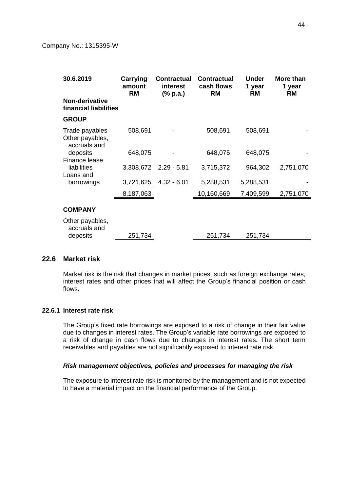| 30.6.2019                                         | Carrying<br>amount<br><b>RM</b> | <b>Contractual</b><br>interest<br>(% p.a.) | <b>Contractual</b><br>cash flows<br><b>RM</b> | <b>Under</b><br>1 year<br><b>RM</b> | <b>More than</b><br>1 year<br><b>RM</b> |
|---------------------------------------------------|---------------------------------|--------------------------------------------|-----------------------------------------------|-------------------------------------|-----------------------------------------|
| Non-derivative<br>financial liabilities           |                                 |                                            |                                               |                                     |                                         |
| <b>GROUP</b>                                      |                                 |                                            |                                               |                                     |                                         |
| Trade payables<br>Other payables,<br>accruals and | 508,691                         |                                            | 508,691                                       | 508,691                             |                                         |
| deposits                                          | 648,075                         |                                            | 648,075                                       | 648,075                             |                                         |
| Finance lease<br>liabilities<br>Loans and         |                                 | 3,308,672 2.29 - 5.81                      | 3,715,372                                     | 964,302                             | 2,751,070                               |
| borrowings                                        | 3,721,625                       | $4.32 - 6.01$                              | 5,288,531                                     | 5,288,531                           |                                         |
|                                                   | 8,187,063                       |                                            | 10,160,669                                    | 7,409,599                           | 2,751,070                               |
| <b>COMPANY</b>                                    |                                 |                                            |                                               |                                     |                                         |
| Other payables,<br>accruals and                   |                                 |                                            |                                               |                                     |                                         |
| deposits                                          | 251,734                         |                                            | 251,734                                       | 251,734                             |                                         |

## **22.6 Market risk**

Market risk is the risk that changes in market prices, such as foreign exchange rates, interest rates and other prices that will affect the Group's financial position or cash flows.

### **22.6.1 Interest rate risk**

The Group's fixed rate borrowings are exposed to a risk of change in their fair value due to changes in interest rates. The Group's variable rate borrowings are exposed to a risk of change in cash flows due to changes in interest rates. The short term receivables and payables are not significantly exposed to interest rate risk.

#### *Risk management objectives, policies and processes for managing the risk*

The exposure to interest rate risk is monitored by the management and is not expected to have a material impact on the financial performance of the Group.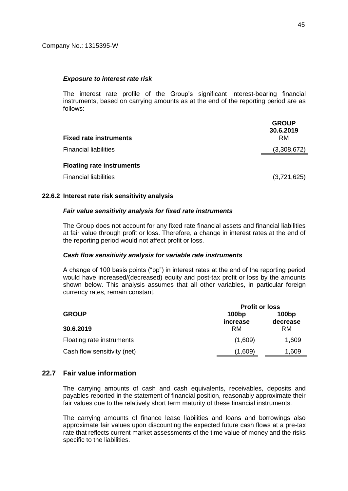#### *Exposure to interest rate risk*

The interest rate profile of the Group's significant interest-bearing financial instruments, based on carrying amounts as at the end of the reporting period are as follows:

| <b>Fixed rate instruments</b>    | <b>GROUP</b><br>30.6.2019<br><b>RM</b> |
|----------------------------------|----------------------------------------|
| <b>Financial liabilities</b>     | (3,308,672)                            |
| <b>Floating rate instruments</b> |                                        |
| <b>Financial liabilities</b>     | (3,721,625)                            |

#### **22.6.2 Interest rate risk sensitivity analysis**

#### *Fair value sensitivity analysis for fixed rate instruments*

The Group does not account for any fixed rate financial assets and financial liabilities at fair value through profit or loss. Therefore, a change in interest rates at the end of the reporting period would not affect profit or loss.

#### *Cash flow sensitivity analysis for variable rate instruments*

A change of 100 basis points ("bp") in interest rates at the end of the reporting period would have increased/(decreased) equity and post-tax profit or loss by the amounts shown below. This analysis assumes that all other variables, in particular foreign currency rates, remain constant.

|                             | <b>Profit or loss</b>                  |           |  |
|-----------------------------|----------------------------------------|-----------|--|
| <b>GROUP</b>                | 100bp<br>100bp<br>increase<br>decrease |           |  |
| 30.6.2019                   | RM.                                    | <b>RM</b> |  |
| Floating rate instruments   | (1,609)                                | 1,609     |  |
| Cash flow sensitivity (net) | (1,609)                                | 1,609     |  |

## **22.7 Fair value information**

The carrying amounts of cash and cash equivalents, receivables, deposits and payables reported in the statement of financial position, reasonably approximate their fair values due to the relatively short term maturity of these financial instruments.

The carrying amounts of finance lease liabilities and loans and borrowings also approximate fair values upon discounting the expected future cash flows at a pre-tax rate that reflects current market assessments of the time value of money and the risks specific to the liabilities.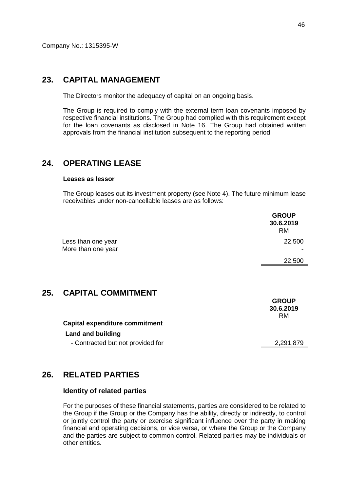Company No.: 1315395-W

## **23. CAPITAL MANAGEMENT**

The Directors monitor the adequacy of capital on an ongoing basis.

The Group is required to comply with the external term loan covenants imposed by respective financial institutions. The Group had complied with this requirement except for the loan covenants as disclosed in Note 16. The Group had obtained written approvals from the financial institution subsequent to the reporting period.

# **24. OPERATING LEASE**

#### **Leases as lessor**

The Group leases out its investment property (see Note 4). The future minimum lease receivables under non-cancellable leases are as follows:

|     |                                          | <b>GROUP</b><br>30.6.2019<br><b>RM</b> |
|-----|------------------------------------------|----------------------------------------|
|     | Less than one year<br>More than one year | 22,500                                 |
|     |                                          | 22,500                                 |
| 25. | <b>CAPITAL COMMITMENT</b>                | <b>GROUP</b><br>30.6.2019<br><b>RM</b> |
|     | <b>Capital expenditure commitment</b>    |                                        |
|     | <b>Land and building</b>                 |                                        |
|     | - Contracted but not provided for        | 2,291,879                              |
|     |                                          |                                        |

## **26. RELATED PARTIES**

### **Identity of related parties**

For the purposes of these financial statements, parties are considered to be related to the Group if the Group or the Company has the ability, directly or indirectly, to control or jointly control the party or exercise significant influence over the party in making financial and operating decisions, or vice versa, or where the Group or the Company and the parties are subject to common control. Related parties may be individuals or other entities.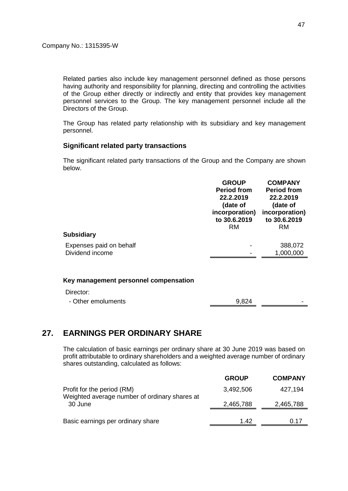Related parties also include key management personnel defined as those persons having authority and responsibility for planning, directing and controlling the activities of the Group either directly or indirectly and entity that provides key management personnel services to the Group. The key management personnel include all the Directors of the Group.

The Group has related party relationship with its subsidiary and key management personnel.

## **Significant related party transactions**

The significant related party transactions of the Group and the Company are shown below.

|                         | <b>GROUP</b><br><b>Period from</b><br>22.2.2019<br>(date of<br>incorporation)<br>to 30.6.2019<br><b>RM</b> | <b>COMPANY</b><br><b>Period from</b><br>22.2.2019<br>(date of<br>incorporation)<br>to 30.6.2019<br><b>RM</b> |
|-------------------------|------------------------------------------------------------------------------------------------------------|--------------------------------------------------------------------------------------------------------------|
| <b>Subsidiary</b>       |                                                                                                            |                                                                                                              |
| Expenses paid on behalf |                                                                                                            | 388,072                                                                                                      |
| Dividend income         |                                                                                                            | 1,000,000                                                                                                    |
|                         |                                                                                                            |                                                                                                              |

#### **Key management personnel compensation**

Director:

| - Other emoluments | 9,824 |  |
|--------------------|-------|--|
|                    |       |  |

# **27. EARNINGS PER ORDINARY SHARE**

The calculation of basic earnings per ordinary share at 30 June 2019 was based on profit attributable to ordinary shareholders and a weighted average number of ordinary shares outstanding, calculated as follows:

|                                                                             | <b>GROUP</b> | <b>COMPANY</b> |
|-----------------------------------------------------------------------------|--------------|----------------|
| Profit for the period (RM)<br>Weighted average number of ordinary shares at | 3,492,506    | 427,194        |
| 30 June                                                                     | 2,465,788    | 2,465,788      |
| Basic earnings per ordinary share                                           | 1.42         | 0.17           |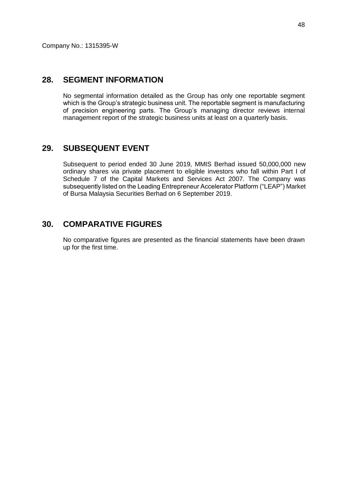## **28. SEGMENT INFORMATION**

No segmental information detailed as the Group has only one reportable segment which is the Group's strategic business unit. The reportable segment is manufacturing of precision engineering parts. The Group's managing director reviews internal management report of the strategic business units at least on a quarterly basis.

# **29. SUBSEQUENT EVENT**

Subsequent to period ended 30 June 2019, MMIS Berhad issued 50,000,000 new ordinary shares via private placement to eligible investors who fall within Part I of Schedule 7 of the Capital Markets and Services Act 2007. The Company was subsequently listed on the Leading Entrepreneur Accelerator Platform ("LEAP") Market of Bursa Malaysia Securities Berhad on 6 September 2019.

## **30. COMPARATIVE FIGURES**

No comparative figures are presented as the financial statements have been drawn up for the first time.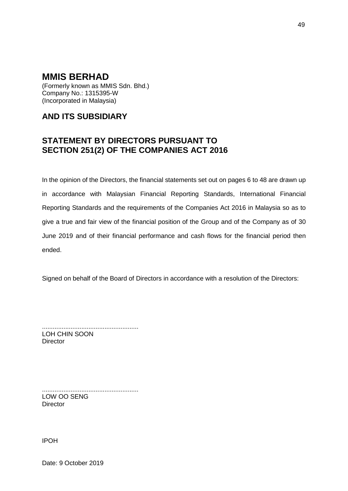(Formerly known as MMIS Sdn. Bhd.) Company No.: 1315395-W (Incorporated in Malaysia)

# **AND ITS SUBSIDIARY**

# **STATEMENT BY DIRECTORS PURSUANT TO SECTION 251(2) OF THE COMPANIES ACT 2016**

In the opinion of the Directors, the financial statements set out on pages 6 to 48 are drawn up in accordance with Malaysian Financial Reporting Standards, International Financial Reporting Standards and the requirements of the Companies Act 2016 in Malaysia so as to give a true and fair view of the financial position of the Group and of the Company as of 30 June 2019 and of their financial performance and cash flows for the financial period then ended.

Signed on behalf of the Board of Directors in accordance with a resolution of the Directors:

...................................................... LOH CHIN SOON **Director** 

...................................................... LOW OO SENG **Director** 

IPOH

Date: 9 October 2019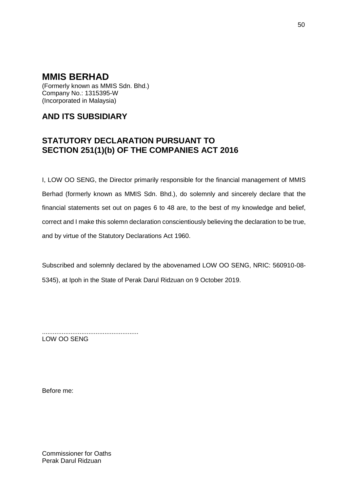(Formerly known as MMIS Sdn. Bhd.) Company No.: 1315395-W (Incorporated in Malaysia)

# **AND ITS SUBSIDIARY**

# **STATUTORY DECLARATION PURSUANT TO SECTION 251(1)(b) OF THE COMPANIES ACT 2016**

I, LOW OO SENG, the Director primarily responsible for the financial management of MMIS Berhad (formerly known as MMIS Sdn. Bhd.), do solemnly and sincerely declare that the financial statements set out on pages 6 to 48 are, to the best of my knowledge and belief, correct and I make this solemn declaration conscientiously believing the declaration to be true, and by virtue of the Statutory Declarations Act 1960.

Subscribed and solemnly declared by the abovenamed LOW OO SENG, NRIC: 560910-08- 5345), at Ipoh in the State of Perak Darul Ridzuan on 9 October 2019.

...................................................... LOW OO SENG

Before me:

Commissioner for Oaths Perak Darul Ridzuan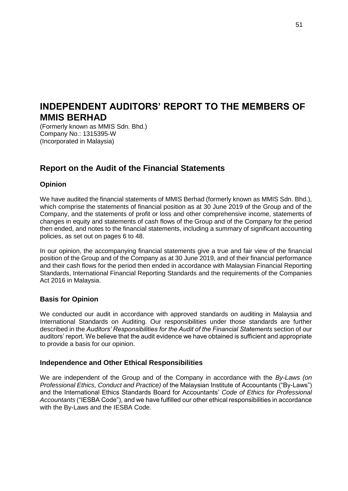# **INDEPENDENT AUDITORS' REPORT TO THE MEMBERS OF MMIS BERHAD**

(Formerly known as MMIS Sdn. Bhd.) Company No.: 1315395-W (Incorporated in Malaysia)

# **Report on the Audit of the Financial Statements**

## **Opinion**

We have audited the financial statements of MMIS Berhad (formerly known as MMIS Sdn. Bhd.), which comprise the statements of financial position as at 30 June 2019 of the Group and of the Company, and the statements of profit or loss and other comprehensive income, statements of changes in equity and statements of cash flows of the Group and of the Company for the period then ended, and notes to the financial statements, including a summary of significant accounting policies, as set out on pages 6 to 48.

In our opinion, the accompanying financial statements give a true and fair view of the financial position of the Group and of the Company as at 30 June 2019, and of their financial performance and their cash flows for the period then ended in accordance with Malaysian Financial Reporting Standards, International Financial Reporting Standards and the requirements of the Companies Act 2016 in Malaysia.

## **Basis for Opinion**

We conducted our audit in accordance with approved standards on auditing in Malaysia and International Standards on Auditing. Our responsibilities under those standards are further described in the *Auditors' Responsibilities for the Audit of the Financial Statements* section of our auditors' report. We believe that the audit evidence we have obtained is sufficient and appropriate to provide a basis for our opinion.

## **Independence and Other Ethical Responsibilities**

We are independent of the Group and of the Company in accordance with the *By-Laws (on Professional Ethics, Conduct and Practice)* of the Malaysian Institute of Accountants ("By-Laws") and the International Ethics Standards Board for Accountants' *Code of Ethics for Professional Accountants* ("IESBA Code"), and we have fulfilled our other ethical responsibilities in accordance with the By-Laws and the IESBA Code.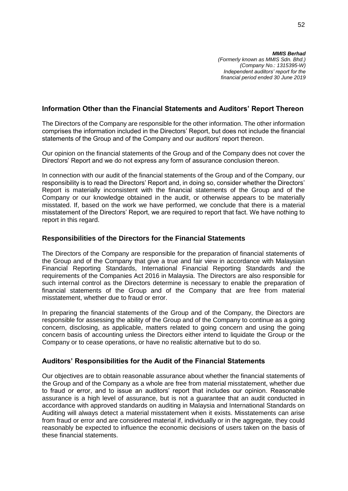*MMIS Berhad (Formerly known as MMIS Sdn. Bhd.) (Company No.: 1315395-W) Independent auditors' report for the financial period ended 30 June 2019*

## **Information Other than the Financial Statements and Auditors' Report Thereon**

The Directors of the Company are responsible for the other information. The other information comprises the information included in the Directors' Report, but does not include the financial statements of the Group and of the Company and our auditors' report thereon.

Our opinion on the financial statements of the Group and of the Company does not cover the Directors' Report and we do not express any form of assurance conclusion thereon.

In connection with our audit of the financial statements of the Group and of the Company, our responsibility is to read the Directors' Report and, in doing so, consider whether the Directors' Report is materially inconsistent with the financial statements of the Group and of the Company or our knowledge obtained in the audit, or otherwise appears to be materially misstated. If, based on the work we have performed, we conclude that there is a material misstatement of the Directors' Report, we are required to report that fact. We have nothing to report in this regard.

### **Responsibilities of the Directors for the Financial Statements**

The Directors of the Company are responsible for the preparation of financial statements of the Group and of the Company that give a true and fair view in accordance with Malaysian Financial Reporting Standards, International Financial Reporting Standards and the requirements of the Companies Act 2016 in Malaysia. The Directors are also responsible for such internal control as the Directors determine is necessary to enable the preparation of financial statements of the Group and of the Company that are free from material misstatement, whether due to fraud or error.

In preparing the financial statements of the Group and of the Company, the Directors are responsible for assessing the ability of the Group and of the Company to continue as a going concern, disclosing, as applicable, matters related to going concern and using the going concern basis of accounting unless the Directors either intend to liquidate the Group or the Company or to cease operations, or have no realistic alternative but to do so.

#### **Auditors' Responsibilities for the Audit of the Financial Statements**

Our objectives are to obtain reasonable assurance about whether the financial statements of the Group and of the Company as a whole are free from material misstatement, whether due to fraud or error, and to issue an auditors' report that includes our opinion. Reasonable assurance is a high level of assurance, but is not a guarantee that an audit conducted in accordance with approved standards on auditing in Malaysia and International Standards on Auditing will always detect a material misstatement when it exists. Misstatements can arise from fraud or error and are considered material if, individually or in the aggregate, they could reasonably be expected to influence the economic decisions of users taken on the basis of these financial statements.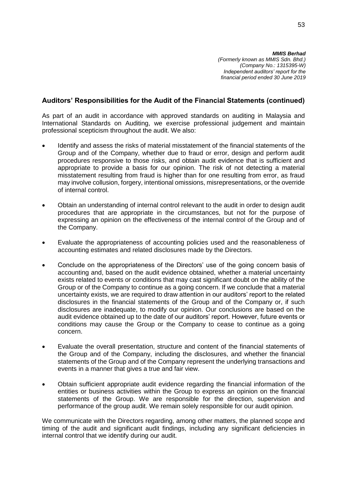## **Auditors' Responsibilities for the Audit of the Financial Statements (continued)**

As part of an audit in accordance with approved standards on auditing in Malaysia and International Standards on Auditing, we exercise professional judgement and maintain professional scepticism throughout the audit. We also:

- Identify and assess the risks of material misstatement of the financial statements of the Group and of the Company, whether due to fraud or error, design and perform audit procedures responsive to those risks, and obtain audit evidence that is sufficient and appropriate to provide a basis for our opinion. The risk of not detecting a material misstatement resulting from fraud is higher than for one resulting from error, as fraud may involve collusion, forgery, intentional omissions, misrepresentations, or the override of internal control.
- Obtain an understanding of internal control relevant to the audit in order to design audit procedures that are appropriate in the circumstances, but not for the purpose of expressing an opinion on the effectiveness of the internal control of the Group and of the Company.
- Evaluate the appropriateness of accounting policies used and the reasonableness of accounting estimates and related disclosures made by the Directors.
- Conclude on the appropriateness of the Directors' use of the going concern basis of accounting and, based on the audit evidence obtained, whether a material uncertainty exists related to events or conditions that may cast significant doubt on the ability of the Group or of the Company to continue as a going concern. If we conclude that a material uncertainty exists, we are required to draw attention in our auditors' report to the related disclosures in the financial statements of the Group and of the Company or, if such disclosures are inadequate, to modify our opinion. Our conclusions are based on the audit evidence obtained up to the date of our auditors' report. However, future events or conditions may cause the Group or the Company to cease to continue as a going concern.
- Evaluate the overall presentation, structure and content of the financial statements of the Group and of the Company, including the disclosures, and whether the financial statements of the Group and of the Company represent the underlying transactions and events in a manner that gives a true and fair view.
- Obtain sufficient appropriate audit evidence regarding the financial information of the entities or business activities within the Group to express an opinion on the financial statements of the Group. We are responsible for the direction, supervision and performance of the group audit. We remain solely responsible for our audit opinion.

We communicate with the Directors regarding, among other matters, the planned scope and timing of the audit and significant audit findings, including any significant deficiencies in internal control that we identify during our audit.